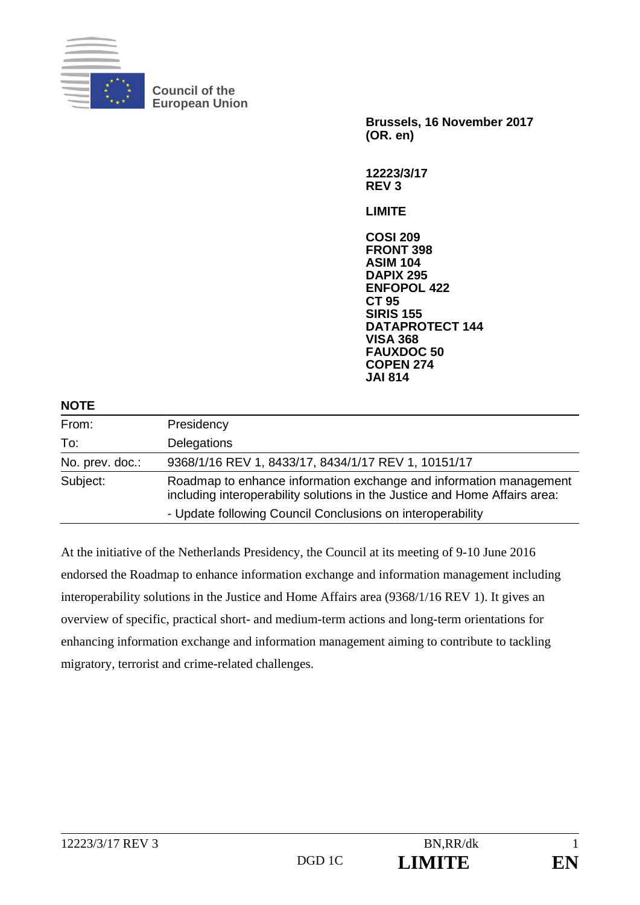

**Council of the European Union** 

> **Brussels, 16 November 2017 (OR. en)**

**12223/3/17 REV 3** 

**LIMITE** 

**COSI 209 FRONT 398 ASIM 104 DAPIX 295 ENFOPOL 422 CT 95 SIRIS 155 DATAPROTECT 144 VISA 368 FAUXDOC 50 COPEN 274 JAI 814**

| <b>NOTE</b>     |                                                                                                                                                  |
|-----------------|--------------------------------------------------------------------------------------------------------------------------------------------------|
| From:           | Presidency                                                                                                                                       |
| To:             | Delegations                                                                                                                                      |
| No. prev. doc.: | 9368/1/16 REV 1, 8433/17, 8434/1/17 REV 1, 10151/17                                                                                              |
| Subject:        | Roadmap to enhance information exchange and information management<br>including interoperability solutions in the Justice and Home Affairs area: |
|                 | - Update following Council Conclusions on interoperability                                                                                       |

At the initiative of the Netherlands Presidency, the Council at its meeting of 9-10 June 2016 endorsed the Roadmap to enhance information exchange and information management including interoperability solutions in the Justice and Home Affairs area (9368/1/16 REV 1). It gives an overview of specific, practical short- and medium-term actions and long-term orientations for enhancing information exchange and information management aiming to contribute to tackling migratory, terrorist and crime-related challenges.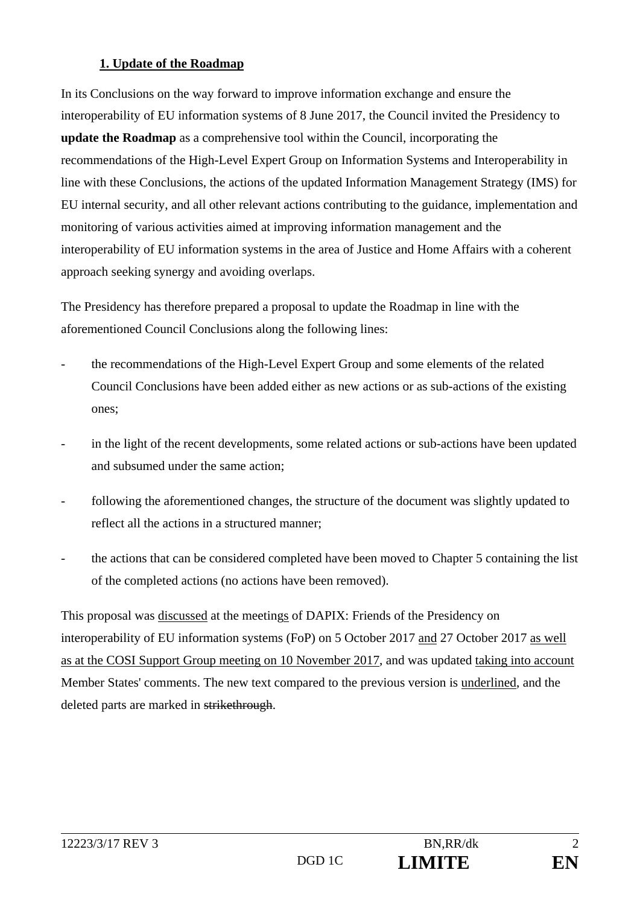#### **1. Update of the Roadmap**

In its Conclusions on the way forward to improve information exchange and ensure the interoperability of EU information systems of 8 June 2017, the Council invited the Presidency to **update the Roadmap** as a comprehensive tool within the Council, incorporating the recommendations of the High-Level Expert Group on Information Systems and Interoperability in line with these Conclusions, the actions of the updated Information Management Strategy (IMS) for EU internal security, and all other relevant actions contributing to the guidance, implementation and monitoring of various activities aimed at improving information management and the interoperability of EU information systems in the area of Justice and Home Affairs with a coherent approach seeking synergy and avoiding overlaps.

The Presidency has therefore prepared a proposal to update the Roadmap in line with the aforementioned Council Conclusions along the following lines:

- the recommendations of the High-Level Expert Group and some elements of the related Council Conclusions have been added either as new actions or as sub-actions of the existing ones;
- in the light of the recent developments, some related actions or sub-actions have been updated and subsumed under the same action;
- following the aforementioned changes, the structure of the document was slightly updated to reflect all the actions in a structured manner;
- the actions that can be considered completed have been moved to Chapter 5 containing the list of the completed actions (no actions have been removed).

This proposal was discussed at the meetings of DAPIX: Friends of the Presidency on interoperability of EU information systems (FoP) on 5 October 2017 and 27 October 2017 as well as at the COSI Support Group meeting on 10 November 2017, and was updated taking into account Member States' comments. The new text compared to the previous version is underlined, and the deleted parts are marked in strikethrough.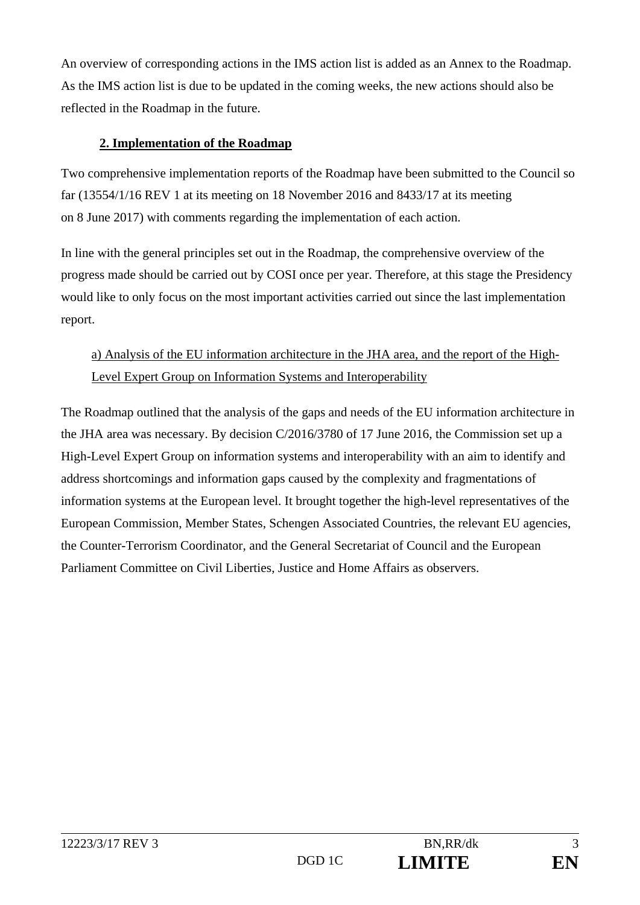An overview of corresponding actions in the IMS action list is added as an Annex to the Roadmap. As the IMS action list is due to be updated in the coming weeks, the new actions should also be reflected in the Roadmap in the future.

#### **2. Implementation of the Roadmap**

Two comprehensive implementation reports of the Roadmap have been submitted to the Council so far (13554/1/16 REV 1 at its meeting on 18 November 2016 and 8433/17 at its meeting on 8 June 2017) with comments regarding the implementation of each action.

In line with the general principles set out in the Roadmap, the comprehensive overview of the progress made should be carried out by COSI once per year. Therefore, at this stage the Presidency would like to only focus on the most important activities carried out since the last implementation report.

## a) Analysis of the EU information architecture in the JHA area, and the report of the High-Level Expert Group on Information Systems and Interoperability

The Roadmap outlined that the analysis of the gaps and needs of the EU information architecture in the JHA area was necessary. By decision C/2016/3780 of 17 June 2016, the Commission set up a High-Level Expert Group on information systems and interoperability with an aim to identify and address shortcomings and information gaps caused by the complexity and fragmentations of information systems at the European level. It brought together the high-level representatives of the European Commission, Member States, Schengen Associated Countries, the relevant EU agencies, the Counter-Terrorism Coordinator, and the General Secretariat of Council and the European Parliament Committee on Civil Liberties, Justice and Home Affairs as observers.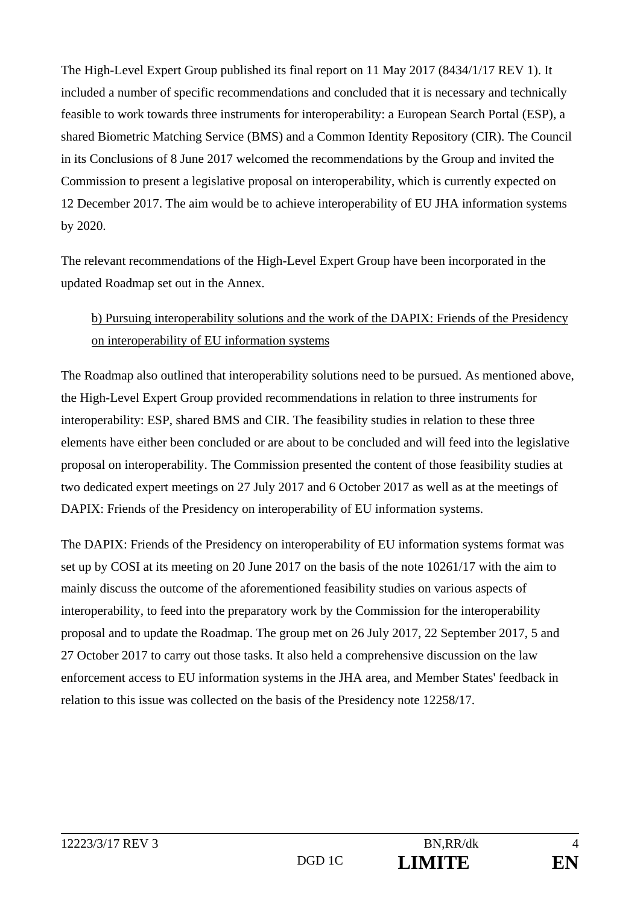The High-Level Expert Group published its final report on 11 May 2017 (8434/1/17 REV 1). It included a number of specific recommendations and concluded that it is necessary and technically feasible to work towards three instruments for interoperability: a European Search Portal (ESP), a shared Biometric Matching Service (BMS) and a Common Identity Repository (CIR). The Council in its Conclusions of 8 June 2017 welcomed the recommendations by the Group and invited the Commission to present a legislative proposal on interoperability, which is currently expected on 12 December 2017. The aim would be to achieve interoperability of EU JHA information systems by 2020.

The relevant recommendations of the High-Level Expert Group have been incorporated in the updated Roadmap set out in the Annex.

### b) Pursuing interoperability solutions and the work of the DAPIX: Friends of the Presidency on interoperability of EU information systems

The Roadmap also outlined that interoperability solutions need to be pursued. As mentioned above, the High-Level Expert Group provided recommendations in relation to three instruments for interoperability: ESP, shared BMS and CIR. The feasibility studies in relation to these three elements have either been concluded or are about to be concluded and will feed into the legislative proposal on interoperability. The Commission presented the content of those feasibility studies at two dedicated expert meetings on 27 July 2017 and 6 October 2017 as well as at the meetings of DAPIX: Friends of the Presidency on interoperability of EU information systems.

The DAPIX: Friends of the Presidency on interoperability of EU information systems format was set up by COSI at its meeting on 20 June 2017 on the basis of the note 10261/17 with the aim to mainly discuss the outcome of the aforementioned feasibility studies on various aspects of interoperability, to feed into the preparatory work by the Commission for the interoperability proposal and to update the Roadmap. The group met on 26 July 2017, 22 September 2017, 5 and 27 October 2017 to carry out those tasks. It also held a comprehensive discussion on the law enforcement access to EU information systems in the JHA area, and Member States' feedback in relation to this issue was collected on the basis of the Presidency note 12258/17.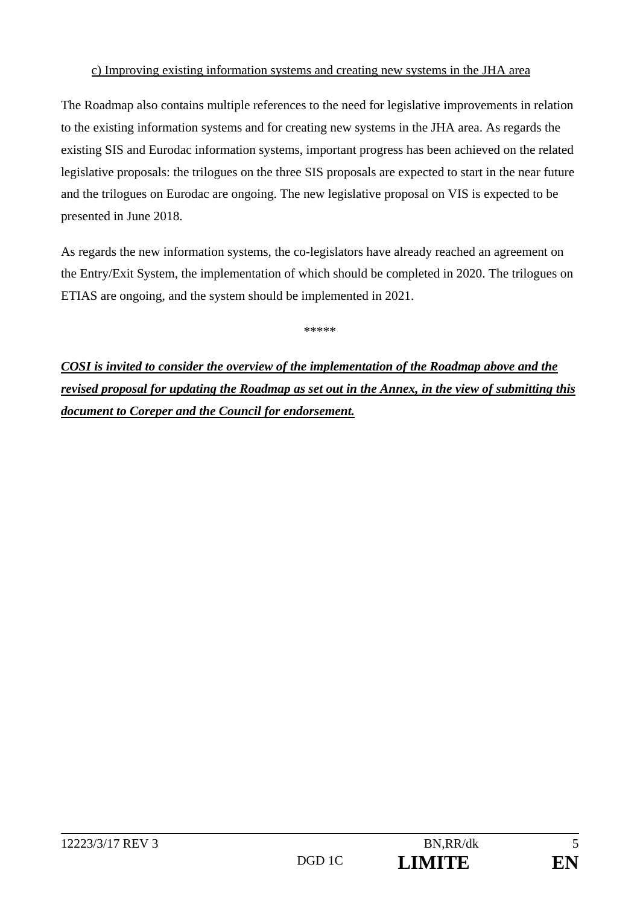#### c) Improving existing information systems and creating new systems in the JHA area

The Roadmap also contains multiple references to the need for legislative improvements in relation to the existing information systems and for creating new systems in the JHA area. As regards the existing SIS and Eurodac information systems, important progress has been achieved on the related legislative proposals: the trilogues on the three SIS proposals are expected to start in the near future and the trilogues on Eurodac are ongoing. The new legislative proposal on VIS is expected to be presented in June 2018.

As regards the new information systems, the co-legislators have already reached an agreement on the Entry/Exit System, the implementation of which should be completed in 2020. The trilogues on ETIAS are ongoing, and the system should be implemented in 2021.

\*\*\*\*\*

*COSI is invited to consider the overview of the implementation of the Roadmap above and the revised proposal for updating the Roadmap as set out in the Annex, in the view of submitting this document to Coreper and the Council for endorsement.*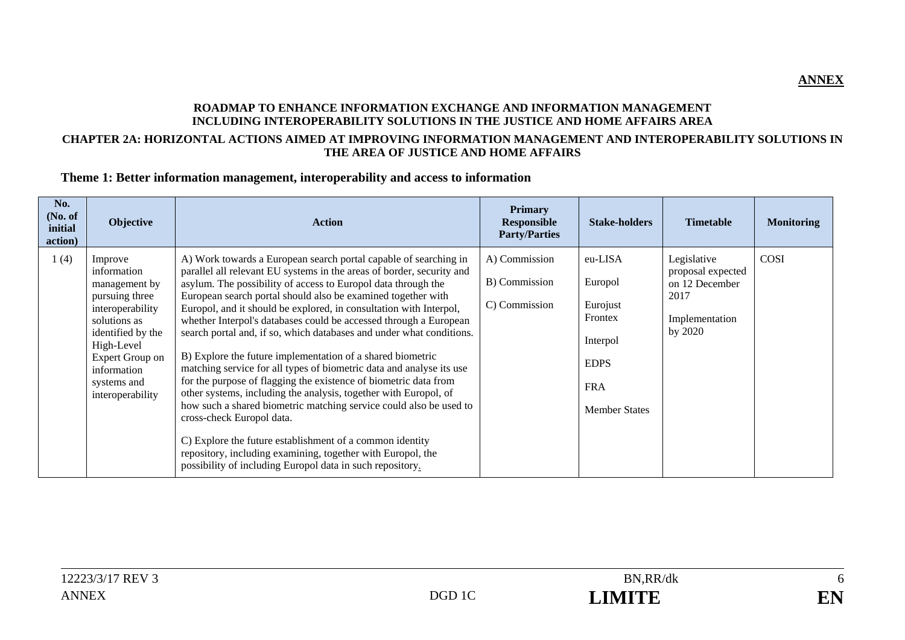#### **ROADMAP TO ENHANCE INFORMATION EXCHANGE AND INFORMATION MANAGEMENT INCLUDING INTEROPERABILITY SOLUTIONS IN THE JUSTICE AND HOME AFFAIRS AREA**

#### **CHAPTER 2A: HORIZONTAL ACTIONS AIMED AT IMPROVING INFORMATION MANAGEMENT AND INTEROPERABILITY SOLUTIONS IN THE AREA OF JUSTICE AND HOME AFFAIRS**

#### **Theme 1: Better information management, interoperability and access to information**

| No.<br>(No. of<br>initial<br>action) | Objective                                                                                                                                                                                             | <b>Action</b>                                                                                                                                                                                                                                                                                                                                                                                                                                                                                                                                                                                                                                                                                                                                                                                                                                                                                                                                                                                                                                                          | <b>Primary</b><br><b>Responsible</b><br><b>Party/Parties</b> | <b>Stake-holders</b>                                                                                       | <b>Timetable</b>                                                                        | <b>Monitoring</b> |
|--------------------------------------|-------------------------------------------------------------------------------------------------------------------------------------------------------------------------------------------------------|------------------------------------------------------------------------------------------------------------------------------------------------------------------------------------------------------------------------------------------------------------------------------------------------------------------------------------------------------------------------------------------------------------------------------------------------------------------------------------------------------------------------------------------------------------------------------------------------------------------------------------------------------------------------------------------------------------------------------------------------------------------------------------------------------------------------------------------------------------------------------------------------------------------------------------------------------------------------------------------------------------------------------------------------------------------------|--------------------------------------------------------------|------------------------------------------------------------------------------------------------------------|-----------------------------------------------------------------------------------------|-------------------|
| 1(4)                                 | Improve<br>information<br>management by<br>pursuing three<br>interoperability<br>solutions as<br>identified by the<br>High-Level<br>Expert Group on<br>information<br>systems and<br>interoperability | A) Work towards a European search portal capable of searching in<br>parallel all relevant EU systems in the areas of border, security and<br>asylum. The possibility of access to Europol data through the<br>European search portal should also be examined together with<br>Europol, and it should be explored, in consultation with Interpol,<br>whether Interpol's databases could be accessed through a European<br>search portal and, if so, which databases and under what conditions.<br>B) Explore the future implementation of a shared biometric<br>matching service for all types of biometric data and analyse its use<br>for the purpose of flagging the existence of biometric data from<br>other systems, including the analysis, together with Europol, of<br>how such a shared biometric matching service could also be used to<br>cross-check Europol data.<br>C) Explore the future establishment of a common identity<br>repository, including examining, together with Europol, the<br>possibility of including Europol data in such repository. | A) Commission<br>B) Commission<br>C) Commission              | eu-LISA<br>Europol<br>Eurojust<br>Frontex<br>Interpol<br><b>EDPS</b><br><b>FRA</b><br><b>Member States</b> | Legislative<br>proposal expected<br>on 12 December<br>2017<br>Implementation<br>by 2020 | <b>COSI</b>       |

**ANNEX**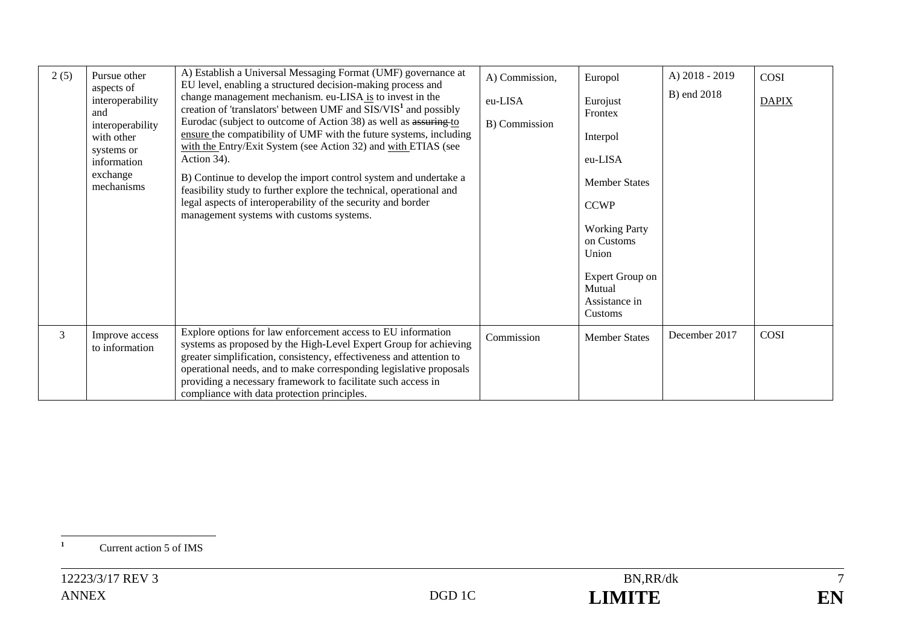| 2(5) | Pursue other<br>aspects of<br>interoperability<br>and<br>interoperability<br>with other<br>systems or<br>information<br>exchange<br>mechanisms | A) Establish a Universal Messaging Format (UMF) governance at<br>EU level, enabling a structured decision-making process and<br>change management mechanism. eu-LISA is to invest in the<br>creation of 'translators' between $UMF$ and $SIS/VIS1$ and possibly<br>Eurodac (subject to outcome of Action 38) as well as assuring to<br>ensure the compatibility of UMF with the future systems, including<br>with the Entry/Exit System (see Action 32) and with ETIAS (see<br>Action 34).<br>B) Continue to develop the import control system and undertake a<br>feasibility study to further explore the technical, operational and<br>legal aspects of interoperability of the security and border<br>management systems with customs systems. | A) Commission,<br>eu-LISA<br>B) Commission | Europol<br>Eurojust<br>Frontex<br>Interpol<br>eu-LISA<br><b>Member States</b><br><b>CCWP</b><br><b>Working Party</b><br>on Customs<br>Union<br>Expert Group on<br>Mutual<br>Assistance in<br>Customs | A) 2018 - 2019<br>B) end 2018 | COSI<br><b>DAPIX</b> |
|------|------------------------------------------------------------------------------------------------------------------------------------------------|---------------------------------------------------------------------------------------------------------------------------------------------------------------------------------------------------------------------------------------------------------------------------------------------------------------------------------------------------------------------------------------------------------------------------------------------------------------------------------------------------------------------------------------------------------------------------------------------------------------------------------------------------------------------------------------------------------------------------------------------------|--------------------------------------------|------------------------------------------------------------------------------------------------------------------------------------------------------------------------------------------------------|-------------------------------|----------------------|
| 3    | Improve access<br>to information                                                                                                               | Explore options for law enforcement access to EU information<br>systems as proposed by the High-Level Expert Group for achieving<br>greater simplification, consistency, effectiveness and attention to<br>operational needs, and to make corresponding legislative proposals<br>providing a necessary framework to facilitate such access in<br>compliance with data protection principles.                                                                                                                                                                                                                                                                                                                                                      | Commission                                 | <b>Member States</b>                                                                                                                                                                                 | December 2017                 | <b>COSI</b>          |

<sup>1</sup> Current action 5 of IMS

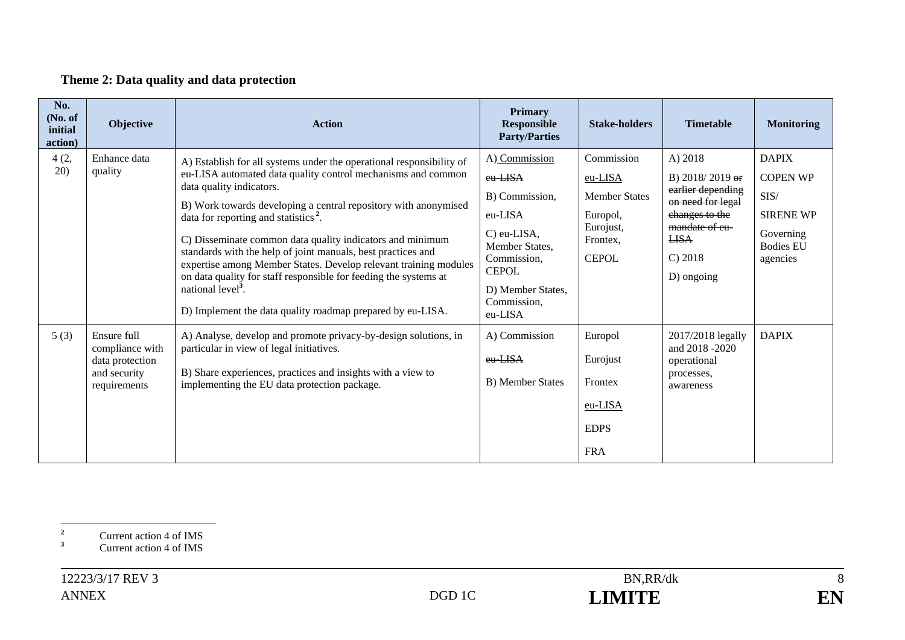#### **Theme 2: Data quality and data protection**

| No.<br>(No. of<br>initial<br>action) | Objective                                                                         | <b>Action</b>                                                                                                                                                                                                                                                                                                                                                                                                                                                                                                                                                                                                                                               | Primary<br><b>Responsible</b><br><b>Party/Parties</b>                                                                                                                   | <b>Stake-holders</b>                                                                               | <b>Timetable</b>                                                                                                                                   | <b>Monitoring</b>                                                                                                |
|--------------------------------------|-----------------------------------------------------------------------------------|-------------------------------------------------------------------------------------------------------------------------------------------------------------------------------------------------------------------------------------------------------------------------------------------------------------------------------------------------------------------------------------------------------------------------------------------------------------------------------------------------------------------------------------------------------------------------------------------------------------------------------------------------------------|-------------------------------------------------------------------------------------------------------------------------------------------------------------------------|----------------------------------------------------------------------------------------------------|----------------------------------------------------------------------------------------------------------------------------------------------------|------------------------------------------------------------------------------------------------------------------|
| 4(2,<br>20)                          | Enhance data<br>quality                                                           | A) Establish for all systems under the operational responsibility of<br>eu-LISA automated data quality control mechanisms and common<br>data quality indicators.<br>B) Work towards developing a central repository with anonymised<br>data for reporting and statistics <sup>2</sup> .<br>C) Disseminate common data quality indicators and minimum<br>standards with the help of joint manuals, best practices and<br>expertise among Member States. Develop relevant training modules<br>on data quality for staff responsible for feeding the systems at<br>national level <sup>3</sup> .<br>D) Implement the data quality roadmap prepared by eu-LISA. | A) Commission<br>eu-LISA<br>B) Commission,<br>eu-LISA<br>$C$ ) eu-LISA,<br>Member States,<br>Commission,<br><b>CEPOL</b><br>D) Member States,<br>Commission.<br>eu-LISA | Commission<br>eu-LISA<br><b>Member States</b><br>Europol,<br>Eurojust,<br>Frontex,<br><b>CEPOL</b> | A) 2018<br>B) $2018/2019$ or<br>earlier depending<br>on need for legal<br>changes to the<br>mandate of eu-<br><b>LISA</b><br>C) 2018<br>D) ongoing | <b>DAPIX</b><br><b>COPEN WP</b><br>${\rm SIS}/$<br><b>SIRENE WP</b><br>Governing<br><b>Bodies EU</b><br>agencies |
| 5(3)                                 | Ensure full<br>compliance with<br>data protection<br>and security<br>requirements | A) Analyse, develop and promote privacy-by-design solutions, in<br>particular in view of legal initiatives.<br>B) Share experiences, practices and insights with a view to<br>implementing the EU data protection package.                                                                                                                                                                                                                                                                                                                                                                                                                                  | A) Commission<br>eu LISA<br>B) Member States                                                                                                                            | Europol<br>Eurojust<br>Frontex<br>eu-LISA<br><b>EDPS</b><br><b>FRA</b>                             | 2017/2018 legally<br>and 2018 -2020<br>operational<br>processes,<br>awareness                                                                      | <b>DAPIX</b>                                                                                                     |

**<sup>2</sup>** Current action 4 of IMS

**<sup>3</sup>** Current action 4 of IMS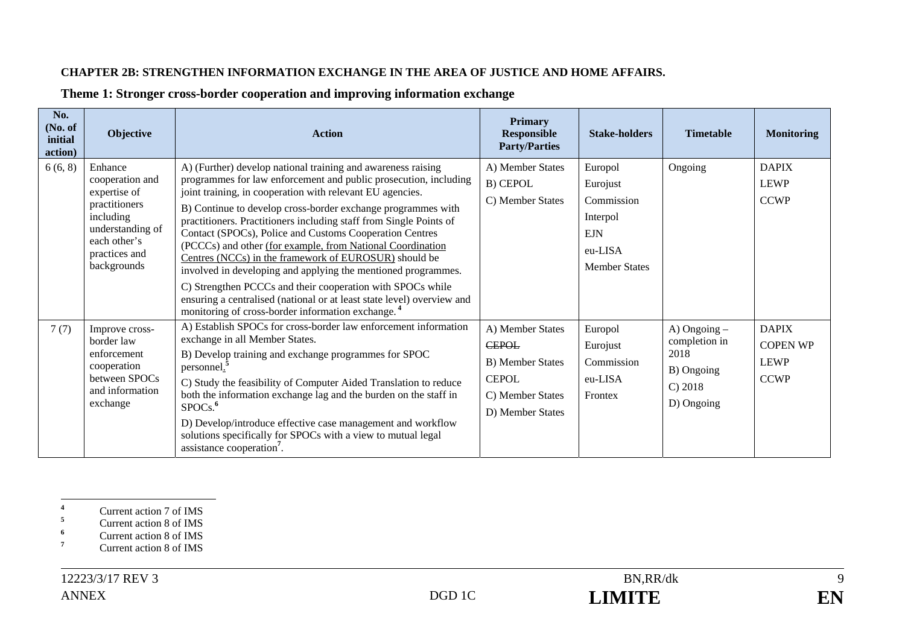#### **CHAPTER 2B: STRENGTHEN INFORMATION EXCHANGE IN THE AREA OF JUSTICE AND HOME AFFAIRS.**

| No.<br>(No. of<br>initial<br>action) | Objective                                                                                                                                    | <b>Action</b>                                                                                                                                                                                                                                                                                                                                                                                                                                                                                                                                                                                                                                                                                                                  | <b>Primary</b><br><b>Responsible</b><br><b>Party/Parties</b>                                                        | <b>Stake-holders</b>                                                                           | <b>Timetable</b>                                                                 | <b>Monitoring</b>                                             |
|--------------------------------------|----------------------------------------------------------------------------------------------------------------------------------------------|--------------------------------------------------------------------------------------------------------------------------------------------------------------------------------------------------------------------------------------------------------------------------------------------------------------------------------------------------------------------------------------------------------------------------------------------------------------------------------------------------------------------------------------------------------------------------------------------------------------------------------------------------------------------------------------------------------------------------------|---------------------------------------------------------------------------------------------------------------------|------------------------------------------------------------------------------------------------|----------------------------------------------------------------------------------|---------------------------------------------------------------|
| 6(6, 8)                              | Enhance<br>cooperation and<br>expertise of<br>practitioners<br>including<br>understanding of<br>each other's<br>practices and<br>backgrounds | A) (Further) develop national training and awareness raising<br>programmes for law enforcement and public prosecution, including<br>joint training, in cooperation with relevant EU agencies.<br>B) Continue to develop cross-border exchange programmes with<br>practitioners. Practitioners including staff from Single Points of<br>Contact (SPOCs), Police and Customs Cooperation Centres<br>(PCCCs) and other (for example, from National Coordination<br>Centres (NCCs) in the framework of EUROSUR) should be<br>involved in developing and applying the mentioned programmes.<br>C) Strengthen PCCCs and their cooperation with SPOCs while<br>ensuring a centralised (national or at least state level) overview and | A) Member States<br>B) CEPOL<br>C) Member States                                                                    | Europol<br>Eurojust<br>Commission<br>Interpol<br><b>EJN</b><br>eu-LISA<br><b>Member States</b> | Ongoing                                                                          | <b>DAPIX</b><br><b>LEWP</b><br><b>CCWP</b>                    |
| 7(7)                                 | Improve cross-<br>border law<br>enforcement<br>cooperation<br>between SPOCs<br>and information<br>exchange                                   | monitoring of cross-border information exchange. <sup>4</sup><br>A) Establish SPOCs for cross-border law enforcement information<br>exchange in all Member States.<br>B) Develop training and exchange programmes for SPOC<br>personnel.<br>C) Study the feasibility of Computer Aided Translation to reduce<br>both the information exchange lag and the burden on the staff in<br>SPOCs. <sup>6</sup><br>D) Develop/introduce effective case management and workflow<br>solutions specifically for SPOCs with a view to mutual legal<br>assistance cooperation <sup>7</sup> .                                                                                                                                                | A) Member States<br><b>CEPOL</b><br><b>B)</b> Member States<br><b>CEPOL</b><br>C) Member States<br>D) Member States | Europol<br>Eurojust<br>Commission<br>eu-LISA<br>Frontex                                        | $A)$ Ongoing $-$<br>completion in<br>2018<br>B) Ongoing<br>C) 2018<br>D) Ongoing | <b>DAPIX</b><br><b>COPEN WP</b><br><b>LEWP</b><br><b>CCWP</b> |

#### **Theme 1: Stronger cross-border cooperation and improving information exchange**

**<sup>4</sup>** Current action 7 of IMS

**<sup>5</sup>** Current action 8 of IMS

**<sup>6</sup>** Current action 8 of IMS

<sup>&</sup>lt;sup>7</sup> Current action 8 of IMS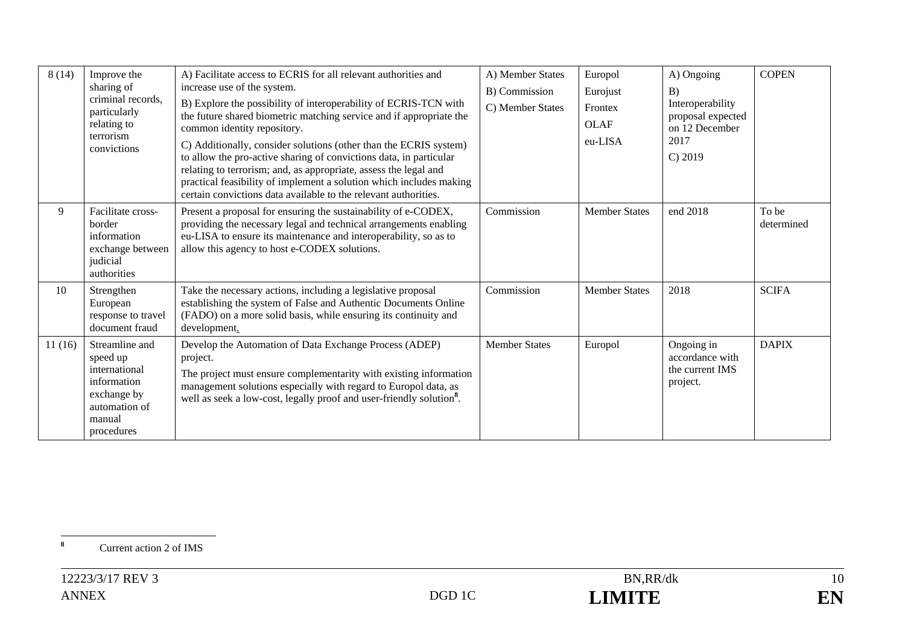| 8(14)  | Improve the<br>sharing of<br>criminal records.<br>particularly<br>relating to<br>terrorism<br>convictions          | A) Facilitate access to ECRIS for all relevant authorities and<br>increase use of the system.<br>B) Explore the possibility of interoperability of ECRIS-TCN with<br>the future shared biometric matching service and if appropriate the<br>common identity repository.<br>C) Additionally, consider solutions (other than the ECRIS system)<br>to allow the pro-active sharing of convictions data, in particular<br>relating to terrorism; and, as appropriate, assess the legal and<br>practical feasibility of implement a solution which includes making<br>certain convictions data available to the relevant authorities. | A) Member States<br>B) Commission<br>C) Member States | Europol<br>Eurojust<br>Frontex<br><b>OLAF</b><br>eu-LISA | A) Ongoing<br>B)<br>Interoperability<br>proposal expected<br>on 12 December<br>2017<br>$C$ ) 2019 | <b>COPEN</b>        |
|--------|--------------------------------------------------------------------------------------------------------------------|----------------------------------------------------------------------------------------------------------------------------------------------------------------------------------------------------------------------------------------------------------------------------------------------------------------------------------------------------------------------------------------------------------------------------------------------------------------------------------------------------------------------------------------------------------------------------------------------------------------------------------|-------------------------------------------------------|----------------------------------------------------------|---------------------------------------------------------------------------------------------------|---------------------|
| 9      | Facilitate cross-<br>border<br>information<br>exchange between<br>judicial<br>authorities                          | Present a proposal for ensuring the sustainability of e-CODEX,<br>providing the necessary legal and technical arrangements enabling<br>eu-LISA to ensure its maintenance and interoperability, so as to<br>allow this agency to host e-CODEX solutions.                                                                                                                                                                                                                                                                                                                                                                          | Commission                                            | <b>Member States</b>                                     | end 2018                                                                                          | To be<br>determined |
| 10     | Strengthen<br>European<br>response to travel<br>document fraud                                                     | Take the necessary actions, including a legislative proposal<br>establishing the system of False and Authentic Documents Online<br>(FADO) on a more solid basis, while ensuring its continuity and<br>development.                                                                                                                                                                                                                                                                                                                                                                                                               | Commission                                            | <b>Member States</b>                                     | 2018                                                                                              | <b>SCIFA</b>        |
| 11(16) | Streamline and<br>speed up<br>international<br>information<br>exchange by<br>automation of<br>manual<br>procedures | Develop the Automation of Data Exchange Process (ADEP)<br>project.<br>The project must ensure complementarity with existing information<br>management solutions especially with regard to Europol data, as<br>well as seek a low-cost, legally proof and user-friendly solution <sup>8</sup> .                                                                                                                                                                                                                                                                                                                                   | <b>Member States</b>                                  | Europol                                                  | Ongoing in<br>accordance with<br>the current IMS<br>project.                                      | <b>DAPIX</b>        |

**<sup>8</sup>** Current action 2 of IMS

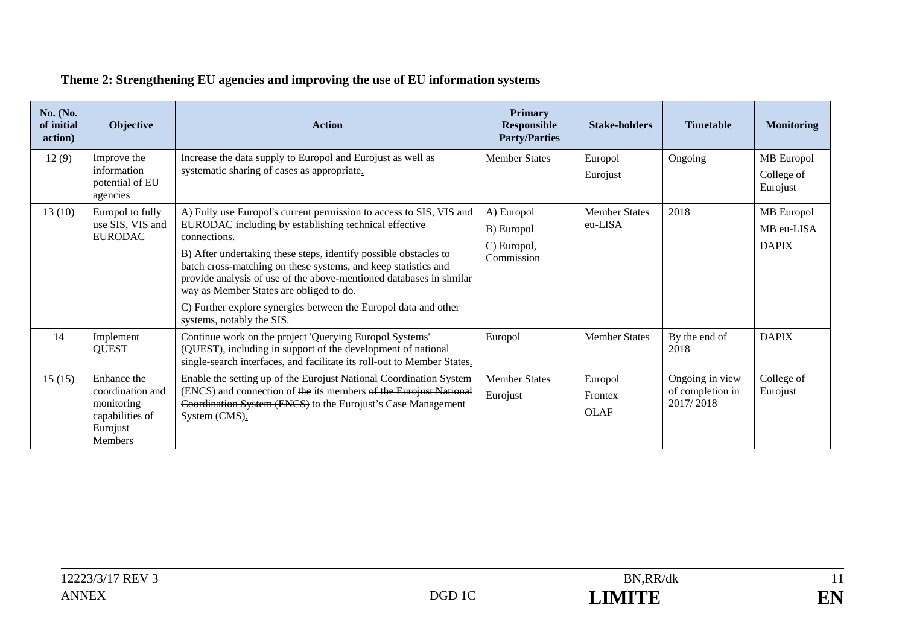#### **No. (No. of initial action) Objective Action Primary Responsible Party/Parties Stake-holders Timetable Monitoring**  12(9) Improve the information potential of EU agencies Increase the data supply to Europol and Eurojust as well as systematic sharing of cases as appropriate. Member States | Europol **Eurojust** Ongoing | MB Europol College of Eurojust 13 (10) Europol to fully use SIS, VIS and EURODAC A) Fully use Europol's current permission to access to SIS, VIS and EURODAC including by establishing technical effective connections. B) After undertaking these steps, identify possible obstacles to batch cross-matching on these systems, and keep statistics and provide analysis of use of the above-mentioned databases in similar way as Member States are obliged to do. C) Further explore synergies between the Europol data and other systems, notably the SIS. A) Europol B) Europol C) Europol, Commission Member States eu-LISA 2018 MB Europol MB eu-LISA DAPIX 14 Implement **OUEST** Continue work on the project 'Querying Europol Systems' (QUEST), including in support of the development of national single-search interfaces, and facilitate its roll-out to Member States. Europol Member States By the end of 2018 DAPIX 15 (15) Enhance the coordination and monitoring capabilities of Eurojust Members Enable the setting up of the Eurojust National Coordination System (ENCS) and connection of the its members of the Eurojust National Coordination System (ENCS) to the Eurojust's Case Management System (CMS). Member States Eurojust Europol Frontex OLAF Ongoing in view of completion in 2017/ 2018 College of Eurojust

#### **Theme 2: Strengthening EU agencies and improving the use of EU information systems**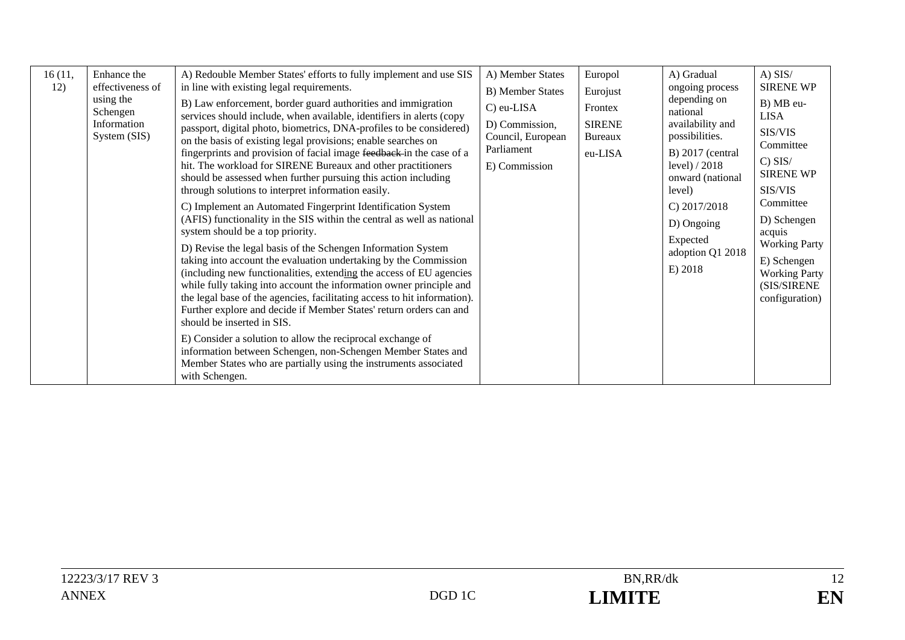| 16(11,<br>12) | Enhance the<br>effectiveness of<br>using the<br>Schengen<br>Information<br>System (SIS) | A) Redouble Member States' efforts to fully implement and use SIS<br>in line with existing legal requirements.<br>B) Law enforcement, border guard authorities and immigration<br>services should include, when available, identifiers in alerts (copy<br>passport, digital photo, biometrics, DNA-profiles to be considered)<br>on the basis of existing legal provisions; enable searches on<br>fingerprints and provision of facial image feedback in the case of a<br>hit. The workload for SIRENE Bureaux and other practitioners<br>should be assessed when further pursuing this action including<br>through solutions to interpret information easily.<br>C) Implement an Automated Fingerprint Identification System<br>(AFIS) functionality in the SIS within the central as well as national<br>system should be a top priority.<br>D) Revise the legal basis of the Schengen Information System<br>taking into account the evaluation undertaking by the Commission<br>(including new functionalities, extending the access of EU agencies<br>while fully taking into account the information owner principle and<br>the legal base of the agencies, facilitating access to hit information).<br>Further explore and decide if Member States' return orders can and<br>should be inserted in SIS.<br>E) Consider a solution to allow the reciprocal exchange of<br>information between Schengen, non-Schengen Member States and<br>Member States who are partially using the instruments associated<br>with Schengen. | A) Member States<br>B) Member States<br>C) eu-LISA<br>D) Commission,<br>Council, European<br>Parliament<br>E) Commission | Europol<br>Eurojust<br>Frontex<br><b>SIRENE</b><br><b>Bureaux</b><br>eu-LISA | A) Gradual<br>ongoing process<br>depending on<br>national<br>availability and<br>possibilities.<br>$B)$ 2017 (central<br>level) $/2018$<br>onward (national<br>level)<br>C) $2017/2018$<br>D) Ongoing<br>Expected<br>adoption Q1 2018<br>E) 2018 | $A)$ SIS/<br><b>SIRENE WP</b><br>B) MB eu-<br><b>LISA</b><br>SIS/VIS<br>Committee<br>$C)$ SIS/<br><b>SIRENE WP</b><br>SIS/VIS<br>Committee<br>D) Schengen<br>acquis<br><b>Working Party</b><br>E) Schengen<br><b>Working Party</b><br>(SIS/SIRENE<br>configuration) |
|---------------|-----------------------------------------------------------------------------------------|-----------------------------------------------------------------------------------------------------------------------------------------------------------------------------------------------------------------------------------------------------------------------------------------------------------------------------------------------------------------------------------------------------------------------------------------------------------------------------------------------------------------------------------------------------------------------------------------------------------------------------------------------------------------------------------------------------------------------------------------------------------------------------------------------------------------------------------------------------------------------------------------------------------------------------------------------------------------------------------------------------------------------------------------------------------------------------------------------------------------------------------------------------------------------------------------------------------------------------------------------------------------------------------------------------------------------------------------------------------------------------------------------------------------------------------------------------------------------------------------------------------------------------------|--------------------------------------------------------------------------------------------------------------------------|------------------------------------------------------------------------------|--------------------------------------------------------------------------------------------------------------------------------------------------------------------------------------------------------------------------------------------------|---------------------------------------------------------------------------------------------------------------------------------------------------------------------------------------------------------------------------------------------------------------------|
|---------------|-----------------------------------------------------------------------------------------|-----------------------------------------------------------------------------------------------------------------------------------------------------------------------------------------------------------------------------------------------------------------------------------------------------------------------------------------------------------------------------------------------------------------------------------------------------------------------------------------------------------------------------------------------------------------------------------------------------------------------------------------------------------------------------------------------------------------------------------------------------------------------------------------------------------------------------------------------------------------------------------------------------------------------------------------------------------------------------------------------------------------------------------------------------------------------------------------------------------------------------------------------------------------------------------------------------------------------------------------------------------------------------------------------------------------------------------------------------------------------------------------------------------------------------------------------------------------------------------------------------------------------------------|--------------------------------------------------------------------------------------------------------------------------|------------------------------------------------------------------------------|--------------------------------------------------------------------------------------------------------------------------------------------------------------------------------------------------------------------------------------------------|---------------------------------------------------------------------------------------------------------------------------------------------------------------------------------------------------------------------------------------------------------------------|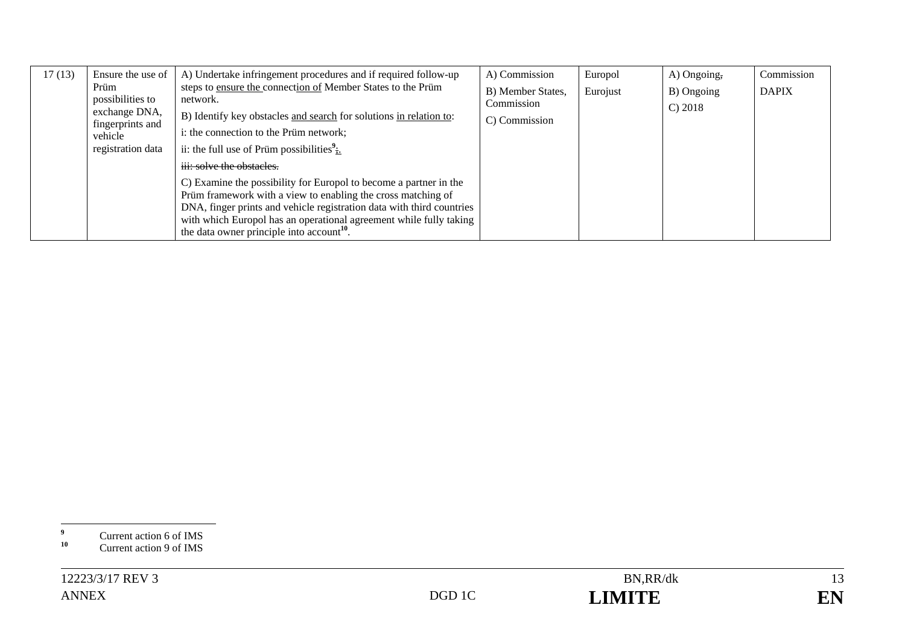| 17(13) | Ensure the use of        | A) Undertake infringement procedures and if required follow-up                                                                              | A) Commission     | Europol  | A) Ongoing, | Commission   |
|--------|--------------------------|---------------------------------------------------------------------------------------------------------------------------------------------|-------------------|----------|-------------|--------------|
|        | Prüm<br>possibilities to | steps to ensure the connection of Member States to the Prüm<br>network.                                                                     | B) Member States, | Eurojust | B) Ongoing  | <b>DAPIX</b> |
|        | exchange DNA,            |                                                                                                                                             | Commission        |          | C) 2018     |              |
|        | fingerprints and         | B) Identify key obstacles and search for solutions in relation to:                                                                          | C) Commission     |          |             |              |
|        | vehicle                  | i: the connection to the Prüm network;                                                                                                      |                   |          |             |              |
|        | registration data        | ii: the full use of Prüm possibilities $\frac{3}{11}$                                                                                       |                   |          |             |              |
|        |                          | iii: solve the obstacles.                                                                                                                   |                   |          |             |              |
|        |                          | C) Examine the possibility for Europol to become a partner in the                                                                           |                   |          |             |              |
|        |                          | Prüm framework with a view to enabling the cross matching of                                                                                |                   |          |             |              |
|        |                          | DNA, finger prints and vehicle registration data with third countries<br>with which Europol has an operational agreement while fully taking |                   |          |             |              |
|        |                          | the data owner principle into account <sup>10</sup> .                                                                                       |                   |          |             |              |

<sup>&</sup>lt;sup>9</sup> Current action 6 of IMS<br> **10** Current action 9 of IMS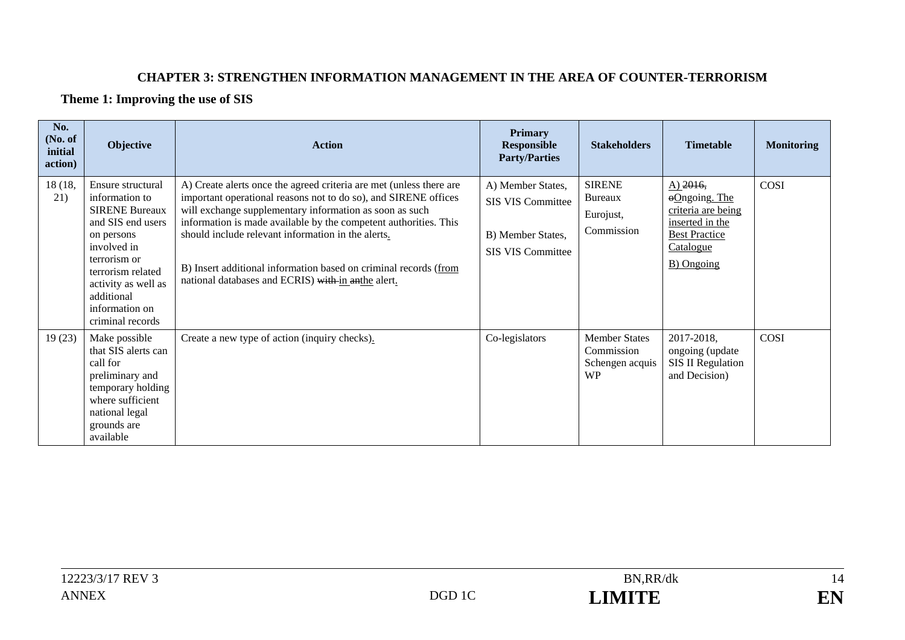#### **CHAPTER 3: STRENGTHEN INFORMATION MANAGEMENT IN THE AREA OF COUNTER-TERRORISM**

#### **Theme 1: Improving the use of SIS**

| No.<br>(No. of<br>initial<br>action) | Objective                                                                                                                                                                                                                      | <b>Action</b>                                                                                                                                                                                                                                                                                                                                                                                                                                         | <b>Primary</b><br><b>Responsible</b><br><b>Party/Parties</b>                            | <b>Stakeholders</b>                                                | <b>Timetable</b>                                                                                                                        | <b>Monitoring</b> |
|--------------------------------------|--------------------------------------------------------------------------------------------------------------------------------------------------------------------------------------------------------------------------------|-------------------------------------------------------------------------------------------------------------------------------------------------------------------------------------------------------------------------------------------------------------------------------------------------------------------------------------------------------------------------------------------------------------------------------------------------------|-----------------------------------------------------------------------------------------|--------------------------------------------------------------------|-----------------------------------------------------------------------------------------------------------------------------------------|-------------------|
| 18 (18,<br>21)                       | Ensure structural<br>information to<br><b>SIRENE Bureaux</b><br>and SIS end users<br>on persons<br>involved in<br>terrorism or<br>terrorism related<br>activity as well as<br>additional<br>information on<br>criminal records | A) Create alerts once the agreed criteria are met (unless there are<br>important operational reasons not to do so), and SIRENE offices<br>will exchange supplementary information as soon as such<br>information is made available by the competent authorities. This<br>should include relevant information in the alerts.<br>B) Insert additional information based on criminal records (from<br>national databases and ECRIS) with in anthe alert. | A) Member States,<br><b>SIS VIS Committee</b><br>B) Member States,<br>SIS VIS Committee | <b>SIRENE</b><br>Bureaux<br>Eurojust,<br>Commission                | $A)$ 2016,<br>$\Theta$ Ongoing. The<br>criteria are being<br>inserted in the<br><b>Best Practice</b><br>Catalogue<br><b>B</b> ) Ongoing | COSI              |
| 19(23)                               | Make possible<br>that SIS alerts can<br>call for<br>preliminary and<br>temporary holding<br>where sufficient<br>national legal<br>grounds are<br>available                                                                     | Create a new type of action (inquiry checks).                                                                                                                                                                                                                                                                                                                                                                                                         | Co-legislators                                                                          | <b>Member States</b><br>Commission<br>Schengen acquis<br><b>WP</b> | 2017-2018,<br>ongoing (update<br><b>SIS II Regulation</b><br>and Decision)                                                              | COSI              |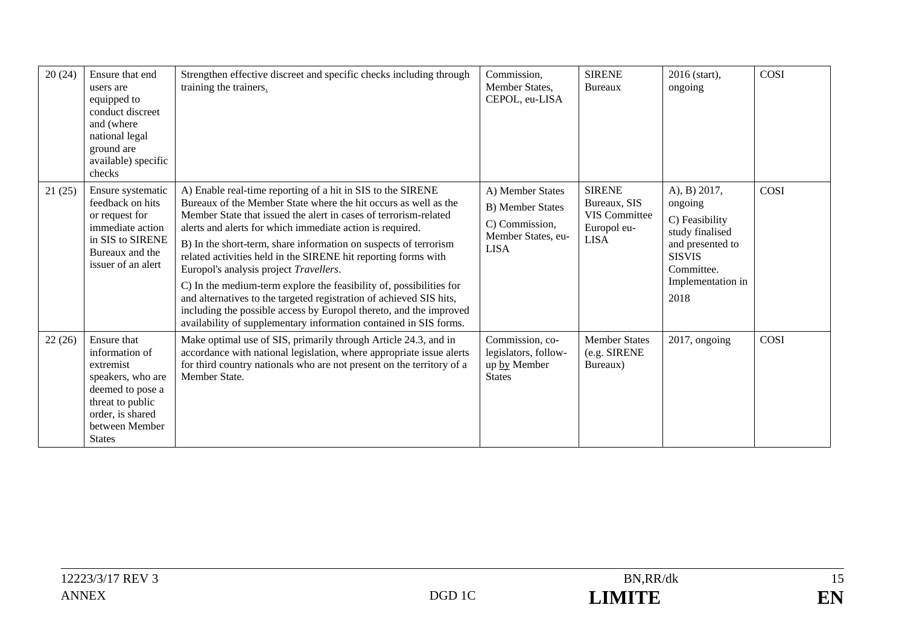| 20(24) | Ensure that end<br>users are<br>equipped to<br>conduct discreet<br>and (where<br>national legal<br>ground are<br>available) specific<br>checks                 | Strengthen effective discreet and specific checks including through<br>training the trainers.                                                                                                                                                                                                                                                                                                                                                                                                                                                                                                                                                                                                                                            | Commission,<br>Member States,<br>CEPOL, eu-LISA                                                    | <b>SIRENE</b><br>Bureaux                                                            | 2016 (start),<br>ongoing                                                                                                                     | COSI |
|--------|----------------------------------------------------------------------------------------------------------------------------------------------------------------|------------------------------------------------------------------------------------------------------------------------------------------------------------------------------------------------------------------------------------------------------------------------------------------------------------------------------------------------------------------------------------------------------------------------------------------------------------------------------------------------------------------------------------------------------------------------------------------------------------------------------------------------------------------------------------------------------------------------------------------|----------------------------------------------------------------------------------------------------|-------------------------------------------------------------------------------------|----------------------------------------------------------------------------------------------------------------------------------------------|------|
| 21(25) | Ensure systematic<br>feedback on hits<br>or request for<br>immediate action<br>in SIS to SIRENE<br>Bureaux and the<br>issuer of an alert                       | A) Enable real-time reporting of a hit in SIS to the SIRENE<br>Bureaux of the Member State where the hit occurs as well as the<br>Member State that issued the alert in cases of terrorism-related<br>alerts and alerts for which immediate action is required.<br>B) In the short-term, share information on suspects of terrorism<br>related activities held in the SIRENE hit reporting forms with<br>Europol's analysis project Travellers.<br>C) In the medium-term explore the feasibility of, possibilities for<br>and alternatives to the targeted registration of achieved SIS hits,<br>including the possible access by Europol thereto, and the improved<br>availability of supplementary information contained in SIS forms. | A) Member States<br><b>B)</b> Member States<br>C) Commission,<br>Member States, eu-<br><b>LISA</b> | <b>SIRENE</b><br>Bureaux, SIS<br><b>VIS Committee</b><br>Europol eu-<br><b>LISA</b> | A), B) 2017,<br>ongoing<br>C) Feasibility<br>study finalised<br>and presented to<br><b>SISVIS</b><br>Committee.<br>Implementation in<br>2018 | COSI |
| 22(26) | Ensure that<br>information of<br>extremist<br>speakers, who are<br>deemed to pose a<br>threat to public<br>order, is shared<br>between Member<br><b>States</b> | Make optimal use of SIS, primarily through Article 24.3, and in<br>accordance with national legislation, where appropriate issue alerts<br>for third country nationals who are not present on the territory of a<br>Member State.                                                                                                                                                                                                                                                                                                                                                                                                                                                                                                        | Commission, co-<br>legislators, follow-<br>up by Member<br><b>States</b>                           | <b>Member States</b><br>(e.g. SIRENE<br>Bureaux)                                    | 2017, ongoing                                                                                                                                | COSI |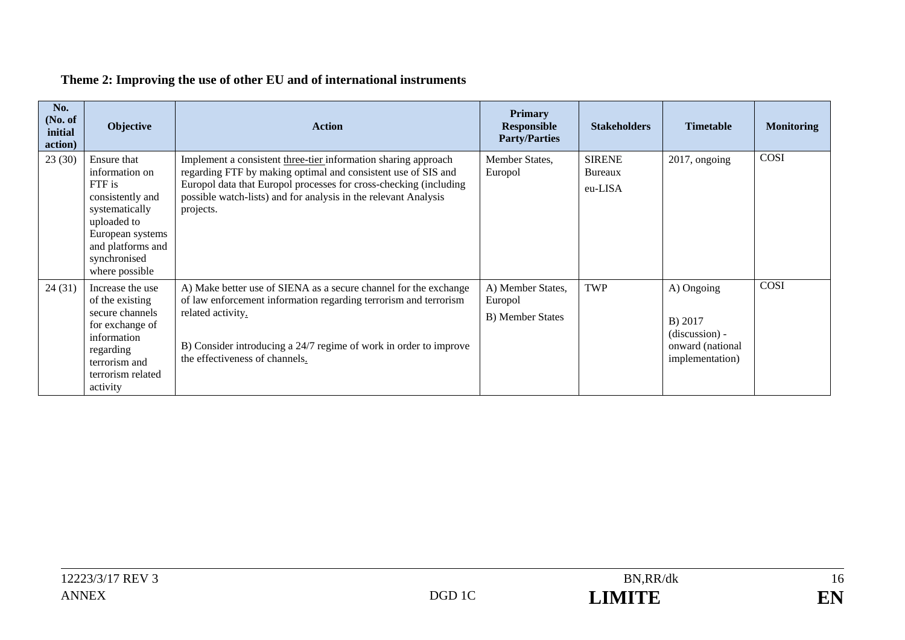## **Theme 2: Improving the use of other EU and of international instruments**

| No.<br>(No. of<br>initial<br>action) | <b>Objective</b>                                                                                                                                                        | <b>Action</b>                                                                                                                                                                                                                                                                        | <b>Primary</b><br><b>Responsible</b><br><b>Party/Parties</b> | <b>Stakeholders</b>                 | <b>Timetable</b>                                                                 | <b>Monitoring</b> |
|--------------------------------------|-------------------------------------------------------------------------------------------------------------------------------------------------------------------------|--------------------------------------------------------------------------------------------------------------------------------------------------------------------------------------------------------------------------------------------------------------------------------------|--------------------------------------------------------------|-------------------------------------|----------------------------------------------------------------------------------|-------------------|
| 23(30)                               | Ensure that<br>information on<br>FTF is<br>consistently and<br>systematically<br>uploaded to<br>European systems<br>and platforms and<br>synchronised<br>where possible | Implement a consistent three-tier information sharing approach<br>regarding FTF by making optimal and consistent use of SIS and<br>Europol data that Europol processes for cross-checking (including<br>possible watch-lists) and for analysis in the relevant Analysis<br>projects. | Member States,<br>Europol                                    | <b>SIRENE</b><br>Bureaux<br>eu-LISA | $2017$ , ongoing                                                                 | COSI              |
| 24(31)                               | Increase the use<br>of the existing<br>secure channels<br>for exchange of<br>information<br>regarding<br>terrorism and<br>terrorism related<br>activity                 | A) Make better use of SIENA as a secure channel for the exchange<br>of law enforcement information regarding terrorism and terrorism<br>related activity.<br>B) Consider introducing a 24/7 regime of work in order to improve<br>the effectiveness of channels.                     | A) Member States,<br>Europol<br><b>B)</b> Member States      | TWP                                 | A) Ongoing<br>B) 2017<br>$(discussion) -$<br>onward (national<br>implementation) | COSI              |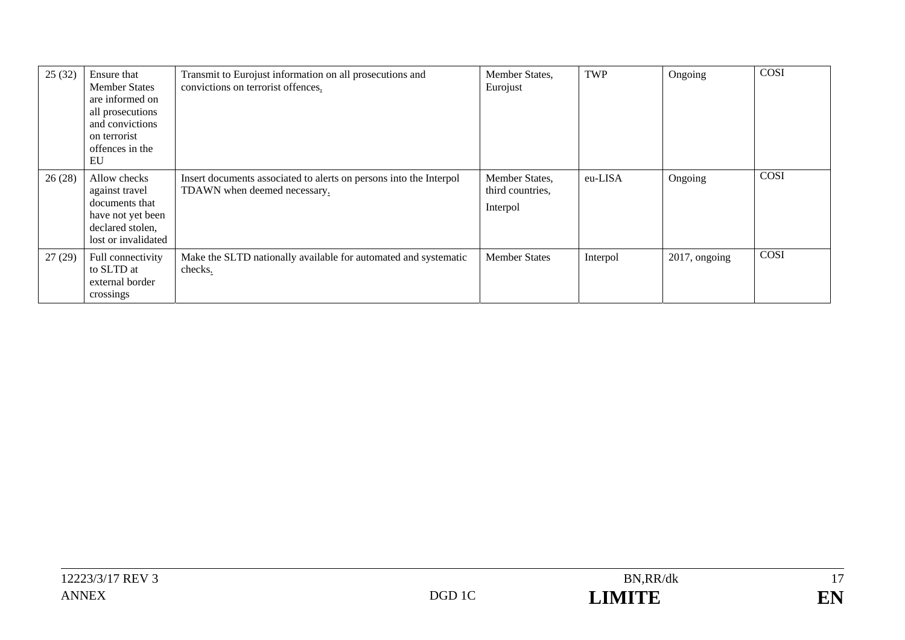| 25(32) | Ensure that<br><b>Member States</b><br>are informed on<br>all prosecutions<br>and convictions<br>on terrorist<br>offences in the<br>EU | Transmit to Eurojust information on all prosecutions and<br>convictions on terrorist offences.     | Member States,<br>Eurojust                     | TWP      | Ongoing       | COSI |
|--------|----------------------------------------------------------------------------------------------------------------------------------------|----------------------------------------------------------------------------------------------------|------------------------------------------------|----------|---------------|------|
| 26(28) | Allow checks<br>against travel<br>documents that<br>have not yet been<br>declared stolen,<br>lost or invalidated                       | Insert documents associated to alerts on persons into the Interpol<br>TDAWN when deemed necessary. | Member States,<br>third countries,<br>Interpol | eu-LISA  | Ongoing       | COSI |
| 27(29) | Full connectivity<br>to SLTD at<br>external border<br>crossings                                                                        | Make the SLTD nationally available for automated and systematic<br>checks.                         | <b>Member States</b>                           | Interpol | 2017, ongoing | COSI |

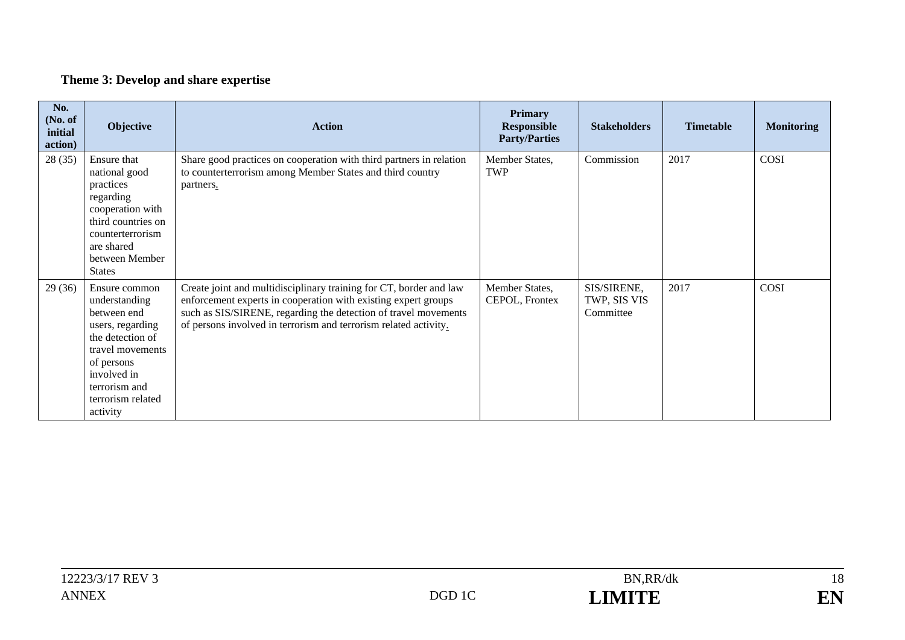## **Theme 3: Develop and share expertise**

| No.<br>(No. of<br>initial<br>action) | Objective                                                                                                                                                                                | <b>Action</b>                                                                                                                                                                                                                                                               | Primary<br><b>Responsible</b><br><b>Party/Parties</b> | <b>Stakeholders</b>                      | <b>Timetable</b> | <b>Monitoring</b> |
|--------------------------------------|------------------------------------------------------------------------------------------------------------------------------------------------------------------------------------------|-----------------------------------------------------------------------------------------------------------------------------------------------------------------------------------------------------------------------------------------------------------------------------|-------------------------------------------------------|------------------------------------------|------------------|-------------------|
| 28(35)                               | Ensure that<br>national good<br>practices<br>regarding<br>cooperation with<br>third countries on<br>counterterrorism<br>are shared<br>between Member<br><b>States</b>                    | Share good practices on cooperation with third partners in relation<br>to counterterrorism among Member States and third country<br>partners.                                                                                                                               | Member States,<br><b>TWP</b>                          | Commission                               | 2017             | <b>COSI</b>       |
| 29(36)                               | Ensure common<br>understanding<br>between end<br>users, regarding<br>the detection of<br>travel movements<br>of persons<br>involved in<br>terrorism and<br>terrorism related<br>activity | Create joint and multidisciplinary training for CT, border and law<br>enforcement experts in cooperation with existing expert groups<br>such as SIS/SIRENE, regarding the detection of travel movements<br>of persons involved in terrorism and terrorism related activity. | Member States,<br>CEPOL, Frontex                      | SIS/SIRENE,<br>TWP, SIS VIS<br>Committee | 2017             | COSI              |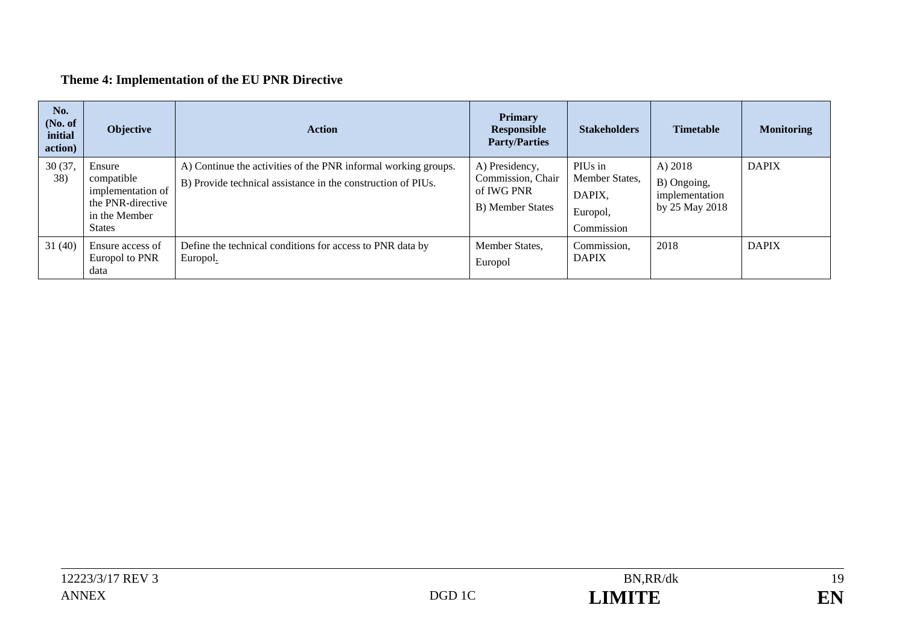## **Theme 4: Implementation of the EU PNR Directive**

| No.<br>(No. of<br>initial<br>action) | Objective                                                                                        | <b>Action</b>                                                                                                                  | <b>Primary</b><br>Responsible<br><b>Party/Parties</b>                 | <b>Stakeholders</b>                                           | <b>Timetable</b>                                           | <b>Monitoring</b> |
|--------------------------------------|--------------------------------------------------------------------------------------------------|--------------------------------------------------------------------------------------------------------------------------------|-----------------------------------------------------------------------|---------------------------------------------------------------|------------------------------------------------------------|-------------------|
| 30 (37,<br>38)                       | Ensure<br>compatible<br>implementation of<br>the PNR-directive<br>in the Member<br><b>States</b> | A) Continue the activities of the PNR informal working groups.<br>B) Provide technical assistance in the construction of PIUs. | A) Presidency,<br>Commission, Chair<br>of IWG PNR<br>B) Member States | PIUs in<br>Member States,<br>DAPIX.<br>Europol,<br>Commission | A) 2018<br>B) Ongoing,<br>implementation<br>by 25 May 2018 | <b>DAPIX</b>      |
| 31(40)                               | Ensure access of<br>Europol to PNR<br>data                                                       | Define the technical conditions for access to PNR data by<br>Europol.                                                          | Member States.<br>Europol                                             | Commission,<br><b>DAPIX</b>                                   | 2018                                                       | <b>DAPIX</b>      |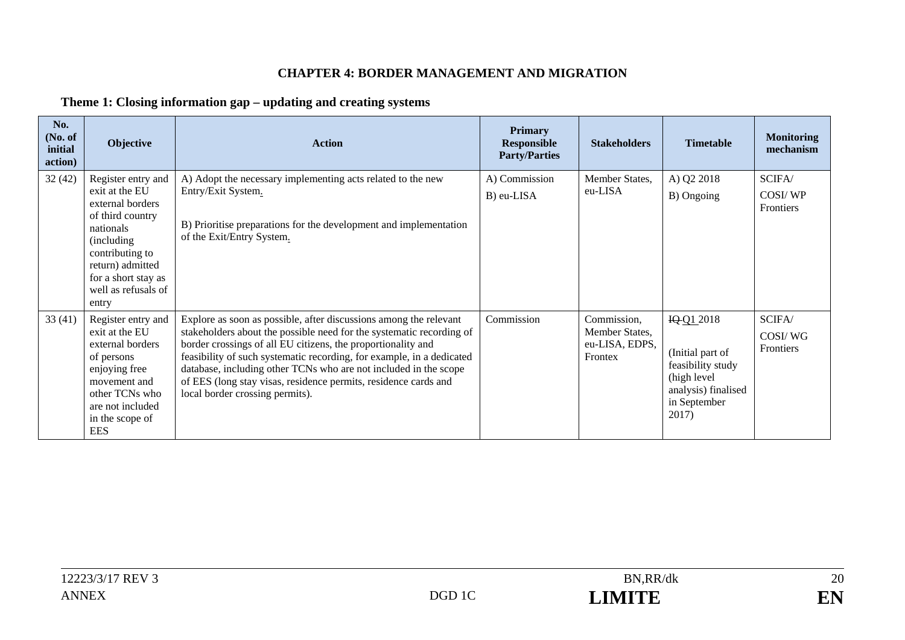#### **CHAPTER 4: BORDER MANAGEMENT AND MIGRATION**

### **Theme 1: Closing information gap – updating and creating systems**

| No.<br>(No. of<br>initial<br>action) | Objective                                                                                                                                                                                              | <b>Action</b>                                                                                                                                                                                                                                                                                                                                                                                                                                                | <b>Primary</b><br><b>Responsible</b><br><b>Party/Parties</b> | <b>Stakeholders</b>                                        | <b>Timetable</b>                                                                                                   | <b>Monitoring</b><br>mechanism |
|--------------------------------------|--------------------------------------------------------------------------------------------------------------------------------------------------------------------------------------------------------|--------------------------------------------------------------------------------------------------------------------------------------------------------------------------------------------------------------------------------------------------------------------------------------------------------------------------------------------------------------------------------------------------------------------------------------------------------------|--------------------------------------------------------------|------------------------------------------------------------|--------------------------------------------------------------------------------------------------------------------|--------------------------------|
| 32(42)                               | Register entry and<br>exit at the EU<br>external borders<br>of third country<br>nationals<br>(including)<br>contributing to<br>return) admitted<br>for a short stay as<br>well as refusals of<br>entry | A) Adopt the necessary implementing acts related to the new<br>Entry/Exit System.<br>B) Prioritise preparations for the development and implementation<br>of the Exit/Entry System.                                                                                                                                                                                                                                                                          | A) Commission<br>B) eu-LISA                                  | Member States,<br>eu-LISA                                  | A) Q2 2018<br>B) Ongoing                                                                                           | SCIFA/<br>COSI/WP<br>Frontiers |
| 33(41)                               | Register entry and<br>exit at the EU<br>external borders<br>of persons<br>enjoying free<br>movement and<br>other TCNs who<br>are not included<br>in the scope of<br><b>EES</b>                         | Explore as soon as possible, after discussions among the relevant<br>stakeholders about the possible need for the systematic recording of<br>border crossings of all EU citizens, the proportionality and<br>feasibility of such systematic recording, for example, in a dedicated<br>database, including other TCNs who are not included in the scope<br>of EES (long stay visas, residence permits, residence cards and<br>local border crossing permits). | Commission                                                   | Commission,<br>Member States,<br>eu-LISA, EDPS,<br>Frontex | IQ 01 2018<br>(Initial part of<br>feasibility study<br>(high level<br>analysis) finalised<br>in September<br>2017) | SCIFA/<br>COSI/WG<br>Frontiers |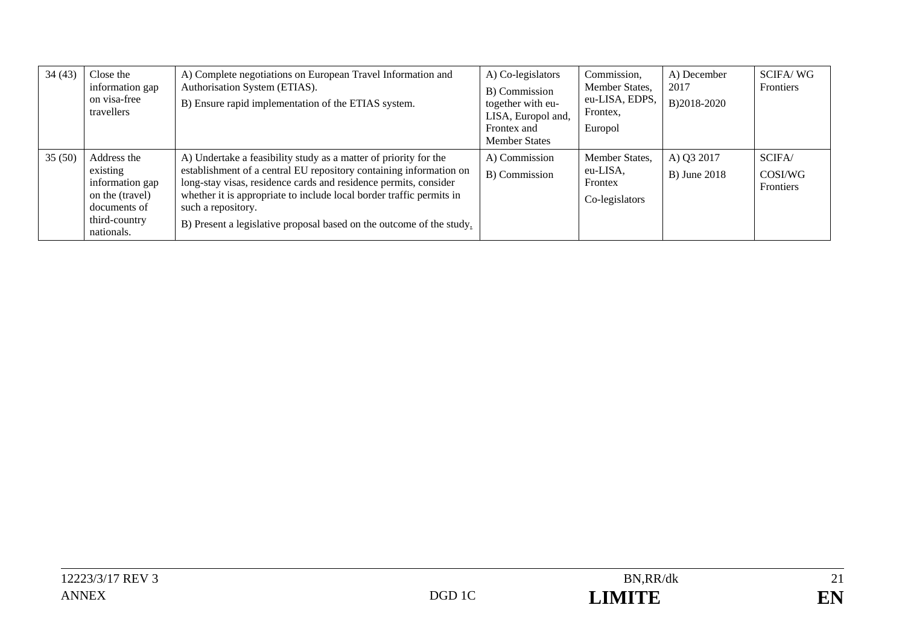| 34(43) | Close the<br>information gap<br>on visa-free<br>travellers                                                   | A) Complete negotiations on European Travel Information and<br>Authorisation System (ETIAS).<br>B) Ensure rapid implementation of the ETIAS system.                                                                                                                                                                                                                              | A) Co-legislators<br>B) Commission<br>together with eu-<br>LISA, Europol and,<br>Frontex and<br><b>Member States</b> | Commission,<br>Member States,<br>eu-LISA, EDPS,<br>Frontex,<br>Europol | A) December<br>2017<br>B)2018-2020 | <b>SCIFA/WG</b><br>Frontiers   |
|--------|--------------------------------------------------------------------------------------------------------------|----------------------------------------------------------------------------------------------------------------------------------------------------------------------------------------------------------------------------------------------------------------------------------------------------------------------------------------------------------------------------------|----------------------------------------------------------------------------------------------------------------------|------------------------------------------------------------------------|------------------------------------|--------------------------------|
| 35(50) | Address the<br>existing<br>information gap<br>on the (travel)<br>documents of<br>third-country<br>nationals. | A) Undertake a feasibility study as a matter of priority for the<br>establishment of a central EU repository containing information on<br>long-stay visas, residence cards and residence permits, consider<br>whether it is appropriate to include local border traffic permits in<br>such a repository.<br>B) Present a legislative proposal based on the outcome of the study. | A) Commission<br>B) Commission                                                                                       | Member States,<br>eu-LISA,<br>Frontex<br>Co-legislators                | A) Q3 2017<br><b>B</b> ) June 2018 | SCIFA/<br>COSI/WG<br>Frontiers |

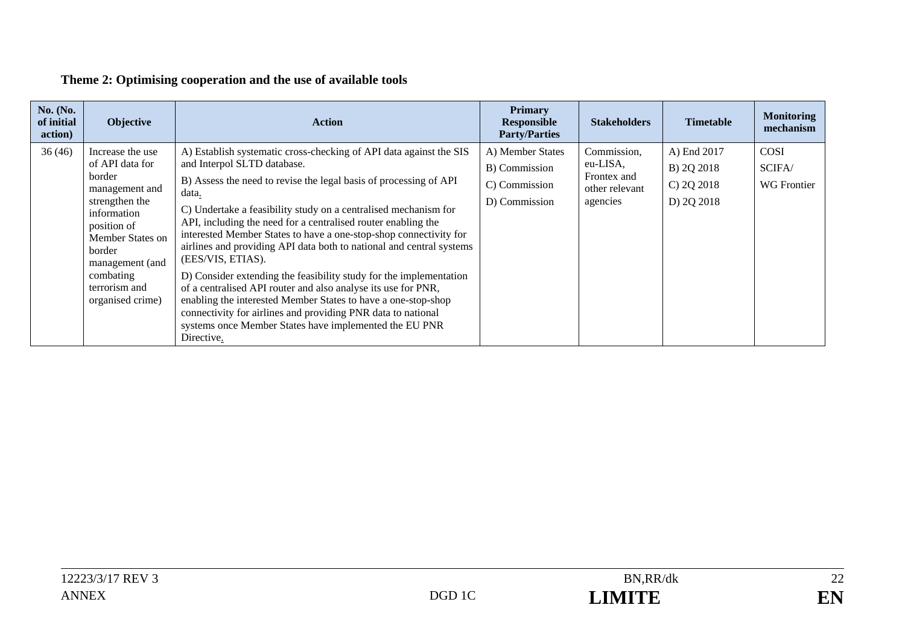### **Theme 2: Optimising cooperation and the use of available tools**

| <b>No.</b> (No.<br>of initial<br>action) | Objective                                                                                                                                                                                                          | <b>Action</b>                                                                                                                                                                                                                                                                                                                                                                                                                                                                                                                                                                                                                                                                                                                                                                                                                         | <b>Primary</b><br><b>Responsible</b><br><b>Party/Parties</b>        | <b>Stakeholders</b>                                                  | <b>Timetable</b>                                         | <b>Monitoring</b><br>mechanism              |
|------------------------------------------|--------------------------------------------------------------------------------------------------------------------------------------------------------------------------------------------------------------------|---------------------------------------------------------------------------------------------------------------------------------------------------------------------------------------------------------------------------------------------------------------------------------------------------------------------------------------------------------------------------------------------------------------------------------------------------------------------------------------------------------------------------------------------------------------------------------------------------------------------------------------------------------------------------------------------------------------------------------------------------------------------------------------------------------------------------------------|---------------------------------------------------------------------|----------------------------------------------------------------------|----------------------------------------------------------|---------------------------------------------|
| 36(46)                                   | Increase the use<br>of API data for<br>border<br>management and<br>strengthen the<br>information<br>position of<br>Member States on<br>border<br>management (and<br>combating<br>terrorism and<br>organised crime) | A) Establish systematic cross-checking of API data against the SIS<br>and Interpol SLTD database.<br>B) Assess the need to revise the legal basis of processing of API<br>data.<br>C) Undertake a feasibility study on a centralised mechanism for<br>API, including the need for a centralised router enabling the<br>interested Member States to have a one-stop-shop connectivity for<br>airlines and providing API data both to national and central systems<br>(EES/VIS, ETIAS).<br>D) Consider extending the feasibility study for the implementation<br>of a centralised API router and also analyse its use for PNR,<br>enabling the interested Member States to have a one-stop-shop<br>connectivity for airlines and providing PNR data to national<br>systems once Member States have implemented the EU PNR<br>Directive. | A) Member States<br>B) Commission<br>C) Commission<br>D) Commission | Commission,<br>eu-LISA,<br>Frontex and<br>other relevant<br>agencies | A) End 2017<br>B) 2Q 2018<br>$C$ ) 2Q 2018<br>D) 2Q 2018 | <b>COSI</b><br>SCIFA/<br><b>WG</b> Frontier |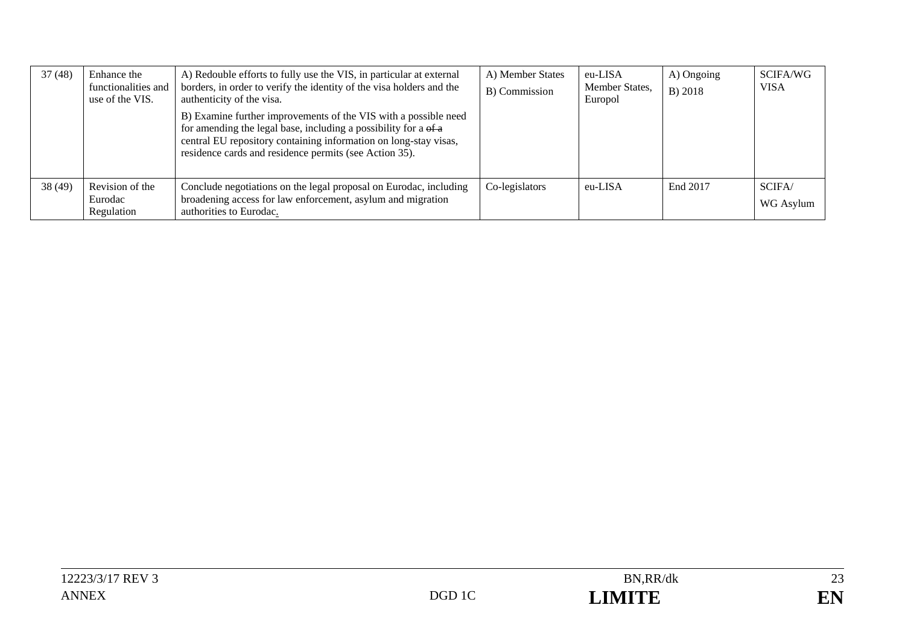| 37(48) | Enhance the<br>functionalities and<br>use of the VIS. | A) Redouble efforts to fully use the VIS, in particular at external<br>borders, in order to verify the identity of the visa holders and the<br>authenticity of the visa.<br>B) Examine further improvements of the VIS with a possible need<br>for amending the legal base, including a possibility for a of a<br>central EU repository containing information on long-stay visas,<br>residence cards and residence permits (see Action 35). | A) Member States<br>B) Commission | eu-LISA<br>Member States,<br>Europol | A) Ongoing<br>B) 2018 | SCIFA/WG<br><b>VISA</b> |
|--------|-------------------------------------------------------|----------------------------------------------------------------------------------------------------------------------------------------------------------------------------------------------------------------------------------------------------------------------------------------------------------------------------------------------------------------------------------------------------------------------------------------------|-----------------------------------|--------------------------------------|-----------------------|-------------------------|
| 38(49) | Revision of the<br>Eurodac<br>Regulation              | Conclude negotiations on the legal proposal on Eurodac, including<br>broadening access for law enforcement, asylum and migration<br>authorities to Eurodac.                                                                                                                                                                                                                                                                                  | Co-legislators                    | eu-LISA                              | End 2017              | SCIFA/<br>WG Asylum     |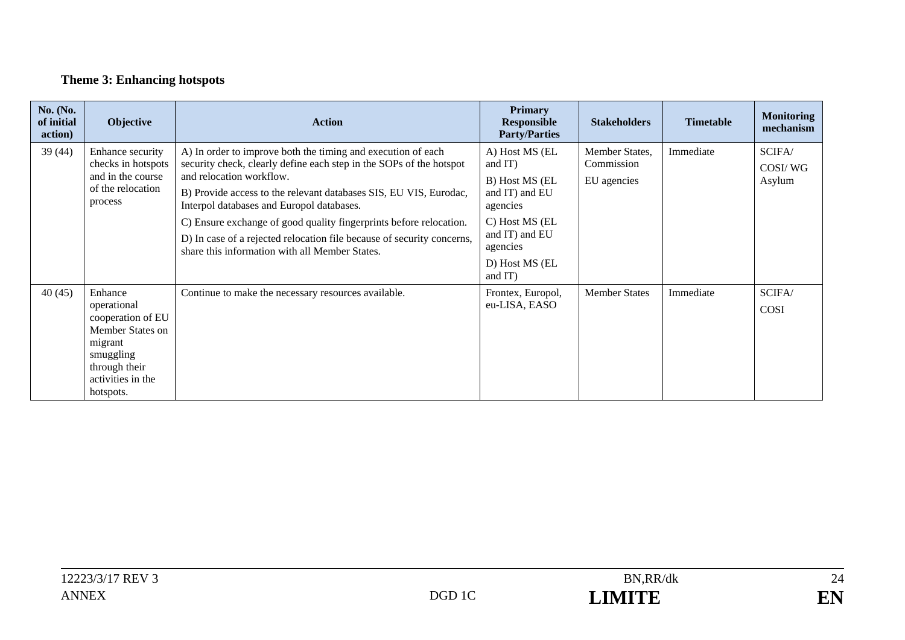## **Theme 3: Enhancing hotspots**

| <b>No.</b> (No.<br>of initial<br>action) | Objective                                                                                                                                  | <b>Action</b>                                                                                                                                                                                                                                                                                                                                                                                                                                                                       | <b>Primary</b><br><b>Responsible</b><br><b>Party/Parties</b>                                                                                           | <b>Stakeholders</b>                         | <b>Timetable</b> | <b>Monitoring</b><br>mechanism |
|------------------------------------------|--------------------------------------------------------------------------------------------------------------------------------------------|-------------------------------------------------------------------------------------------------------------------------------------------------------------------------------------------------------------------------------------------------------------------------------------------------------------------------------------------------------------------------------------------------------------------------------------------------------------------------------------|--------------------------------------------------------------------------------------------------------------------------------------------------------|---------------------------------------------|------------------|--------------------------------|
| 39(44)                                   | Enhance security<br>checks in hotspots<br>and in the course<br>of the relocation<br>process                                                | A) In order to improve both the timing and execution of each<br>security check, clearly define each step in the SOPs of the hotspot<br>and relocation workflow.<br>B) Provide access to the relevant databases SIS, EU VIS, Eurodac,<br>Interpol databases and Europol databases.<br>C) Ensure exchange of good quality fingerprints before relocation.<br>D) In case of a rejected relocation file because of security concerns,<br>share this information with all Member States. | A) Host MS (EL<br>and IT)<br>B) Host MS (EL<br>and IT) and EU<br>agencies<br>C) Host MS (EL<br>and IT) and EU<br>agencies<br>D) Host MS (EL<br>and IT) | Member States,<br>Commission<br>EU agencies | Immediate        | SCIFA/<br>COSI/WG<br>Asylum    |
| 40(45)                                   | Enhance<br>operational<br>cooperation of EU<br>Member States on<br>migrant<br>smuggling<br>through their<br>activities in the<br>hotspots. | Continue to make the necessary resources available.                                                                                                                                                                                                                                                                                                                                                                                                                                 | Frontex, Europol,<br>eu-LISA, EASO                                                                                                                     | <b>Member States</b>                        | Immediate        | SCIFA/<br><b>COSI</b>          |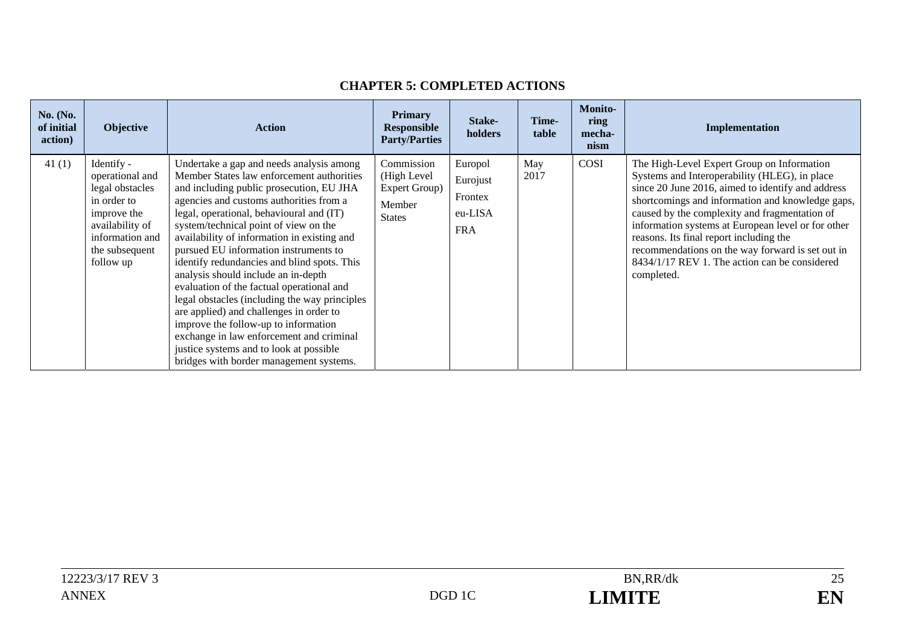| <b>No.</b> (No.<br>of initial<br>action) | <b>Objective</b>                                                                                                                                    | <b>Action</b>                                                                                                                                                                                                                                                                                                                                                                                                                                                                                                                                                                                                                                                                                                                                                      | <b>Primary</b><br><b>Responsible</b><br><b>Party/Parties</b>          | Stake-<br>holders                                       | Time-<br>table | <b>Monito-</b><br>ring<br>mecha-<br>nism | Implementation                                                                                                                                                                                                                                                                                                                                                                                                                                                            |
|------------------------------------------|-----------------------------------------------------------------------------------------------------------------------------------------------------|--------------------------------------------------------------------------------------------------------------------------------------------------------------------------------------------------------------------------------------------------------------------------------------------------------------------------------------------------------------------------------------------------------------------------------------------------------------------------------------------------------------------------------------------------------------------------------------------------------------------------------------------------------------------------------------------------------------------------------------------------------------------|-----------------------------------------------------------------------|---------------------------------------------------------|----------------|------------------------------------------|---------------------------------------------------------------------------------------------------------------------------------------------------------------------------------------------------------------------------------------------------------------------------------------------------------------------------------------------------------------------------------------------------------------------------------------------------------------------------|
| 41(1)                                    | Identify -<br>operational and<br>legal obstacles<br>in order to<br>improve the<br>availability of<br>information and<br>the subsequent<br>follow up | Undertake a gap and needs analysis among<br>Member States law enforcement authorities<br>and including public prosecution, EU JHA<br>agencies and customs authorities from a<br>legal, operational, behavioural and (IT)<br>system/technical point of view on the<br>availability of information in existing and<br>pursued EU information instruments to<br>identify redundancies and blind spots. This<br>analysis should include an in-depth<br>evaluation of the factual operational and<br>legal obstacles (including the way principles<br>are applied) and challenges in order to<br>improve the follow-up to information<br>exchange in law enforcement and criminal<br>justice systems and to look at possible<br>bridges with border management systems. | Commission<br>(High Level<br>Expert Group)<br>Member<br><b>States</b> | Europol<br>Eurojust<br>Frontex<br>eu-LISA<br><b>FRA</b> | May<br>2017    | COSI                                     | The High-Level Expert Group on Information<br>Systems and Interoperability (HLEG), in place<br>since 20 June 2016, aimed to identify and address<br>shortcomings and information and knowledge gaps,<br>caused by the complexity and fragmentation of<br>information systems at European level or for other<br>reasons. Its final report including the<br>recommendations on the way forward is set out in<br>8434/1/17 REV 1. The action can be considered<br>completed. |

#### **CHAPTER 5: COMPLETED ACTIONS**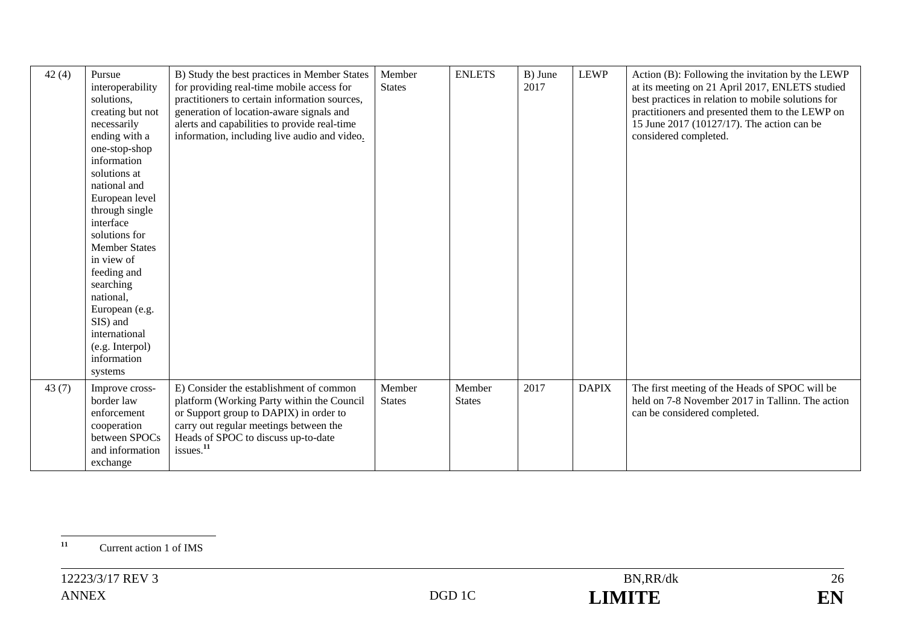| 42(4) | Pursue<br>interoperability<br>solutions,<br>creating but not<br>necessarily<br>ending with a<br>one-stop-shop<br>information<br>solutions at<br>national and<br>European level<br>through single<br>interface<br>solutions for<br><b>Member States</b><br>in view of<br>feeding and<br>searching<br>national,<br>European (e.g.<br>SIS) and<br>international<br>(e.g. Interpol) | B) Study the best practices in Member States<br>for providing real-time mobile access for<br>practitioners to certain information sources,<br>generation of location-aware signals and<br>alerts and capabilities to provide real-time<br>information, including live audio and video. | Member<br><b>States</b> | <b>ENLETS</b>           | B) June<br>2017 | <b>LEWP</b>  | Action (B): Following the invitation by the LEWP<br>at its meeting on 21 April 2017, ENLETS studied<br>best practices in relation to mobile solutions for<br>practitioners and presented them to the LEWP on<br>15 June 2017 (10127/17). The action can be<br>considered completed. |
|-------|---------------------------------------------------------------------------------------------------------------------------------------------------------------------------------------------------------------------------------------------------------------------------------------------------------------------------------------------------------------------------------|----------------------------------------------------------------------------------------------------------------------------------------------------------------------------------------------------------------------------------------------------------------------------------------|-------------------------|-------------------------|-----------------|--------------|-------------------------------------------------------------------------------------------------------------------------------------------------------------------------------------------------------------------------------------------------------------------------------------|
|       | information<br>systems                                                                                                                                                                                                                                                                                                                                                          |                                                                                                                                                                                                                                                                                        |                         |                         |                 |              |                                                                                                                                                                                                                                                                                     |
| 43(7) | Improve cross-<br>border law<br>enforcement<br>cooperation<br>between SPOCs<br>and information<br>exchange                                                                                                                                                                                                                                                                      | E) Consider the establishment of common<br>platform (Working Party within the Council<br>or Support group to DAPIX) in order to<br>carry out regular meetings between the<br>Heads of SPOC to discuss up-to-date<br>issues. <sup>11</sup>                                              | Member<br><b>States</b> | Member<br><b>States</b> | 2017            | <b>DAPIX</b> | The first meeting of the Heads of SPOC will be<br>held on 7-8 November 2017 in Tallinn. The action<br>can be considered completed.                                                                                                                                                  |

<sup>&</sup>lt;sup>11</sup> Current action 1 of IMS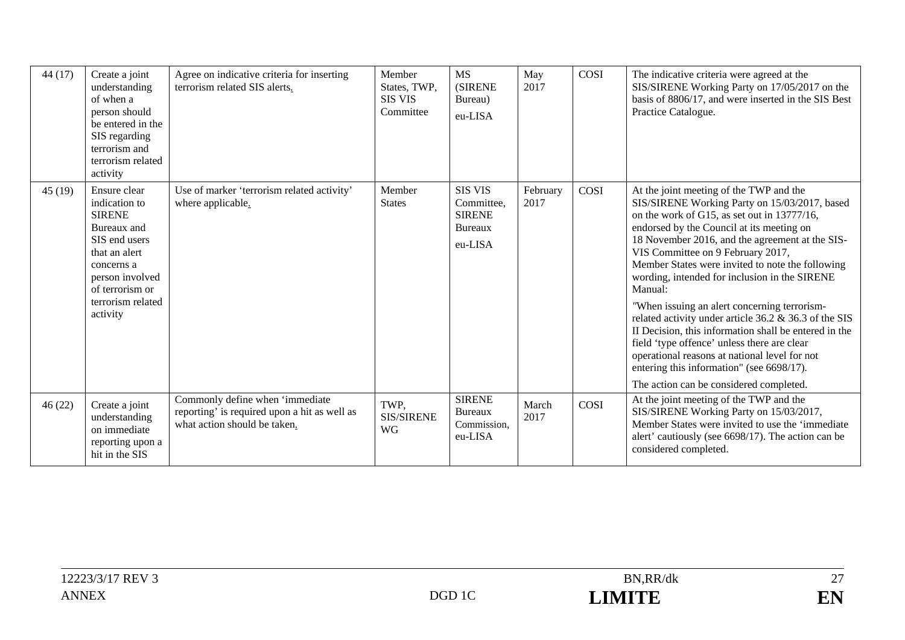| 44(17) | Create a joint<br>understanding<br>of when a<br>person should<br>be entered in the<br>SIS regarding<br>terrorism and<br>terrorism related<br>activity                                | Agree on indicative criteria for inserting<br>terrorism related SIS alerts.                                     | Member<br>States, TWP,<br><b>SIS VIS</b><br>Committee | <b>MS</b><br><b>(SIRENE</b><br>Bureau)<br>eu-LISA                   | May<br>2017      | COSI | The indicative criteria were agreed at the<br>SIS/SIRENE Working Party on 17/05/2017 on the<br>basis of 8806/17, and were inserted in the SIS Best<br>Practice Catalogue.                                                                                                                                                                                                                                                                                                                                                                                                                                                                                                                                                                              |
|--------|--------------------------------------------------------------------------------------------------------------------------------------------------------------------------------------|-----------------------------------------------------------------------------------------------------------------|-------------------------------------------------------|---------------------------------------------------------------------|------------------|------|--------------------------------------------------------------------------------------------------------------------------------------------------------------------------------------------------------------------------------------------------------------------------------------------------------------------------------------------------------------------------------------------------------------------------------------------------------------------------------------------------------------------------------------------------------------------------------------------------------------------------------------------------------------------------------------------------------------------------------------------------------|
| 45(19) | Ensure clear<br>indication to<br><b>SIRENE</b><br>Bureaux and<br>SIS end users<br>that an alert<br>concerns a<br>person involved<br>of terrorism or<br>terrorism related<br>activity | Use of marker 'terrorism related activity'<br>where applicable.                                                 | Member<br><b>States</b>                               | <b>SIS VIS</b><br>Committee,<br><b>SIRENE</b><br>Bureaux<br>eu-LISA | February<br>2017 | COSI | At the joint meeting of the TWP and the<br>SIS/SIRENE Working Party on 15/03/2017, based<br>on the work of G15, as set out in 13777/16,<br>endorsed by the Council at its meeting on<br>18 November 2016, and the agreement at the SIS-<br>VIS Committee on 9 February 2017,<br>Member States were invited to note the following<br>wording, intended for inclusion in the SIRENE<br>Manual:<br>"When issuing an alert concerning terrorism-<br>related activity under article 36.2 & 36.3 of the SIS<br>II Decision, this information shall be entered in the<br>field 'type offence' unless there are clear<br>operational reasons at national level for not<br>entering this information" (see 6698/17).<br>The action can be considered completed. |
| 46(22) | Create a joint<br>understanding<br>on immediate<br>reporting upon a<br>hit in the SIS                                                                                                | Commonly define when 'immediate<br>reporting' is required upon a hit as well as<br>what action should be taken. | TWP.<br><b>SIS/SIRENE</b><br><b>WG</b>                | <b>SIRENE</b><br>Bureaux<br>Commission,<br>eu-LISA                  | March<br>2017    | COSI | At the joint meeting of the TWP and the<br>SIS/SIRENE Working Party on 15/03/2017,<br>Member States were invited to use the 'immediate<br>alert' cautiously (see 6698/17). The action can be<br>considered completed.                                                                                                                                                                                                                                                                                                                                                                                                                                                                                                                                  |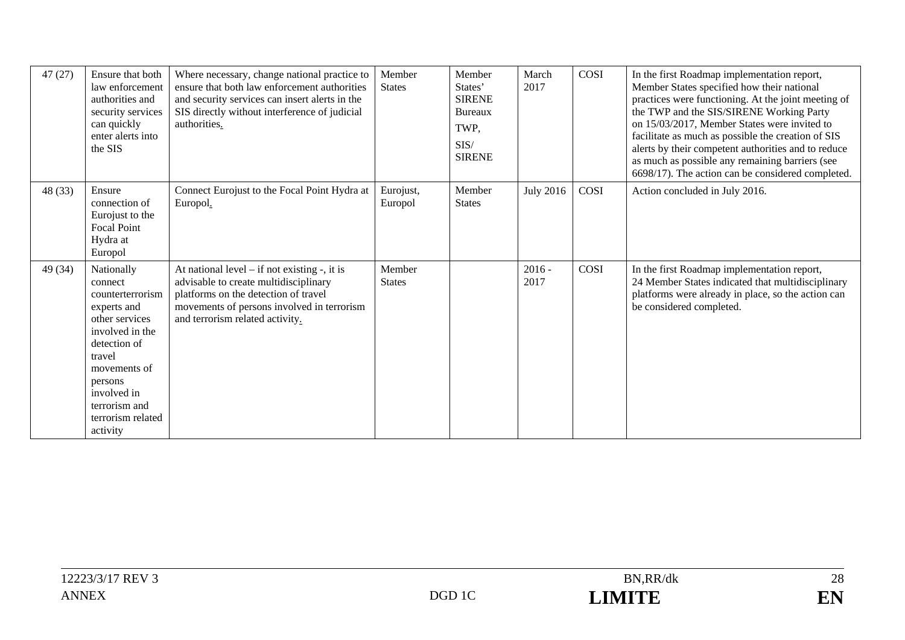| 47(27)  | Ensure that both<br>law enforcement<br>authorities and<br>security services<br>can quickly<br>enter alerts into<br>the SIS                                                                                          | Where necessary, change national practice to<br>ensure that both law enforcement authorities<br>and security services can insert alerts in the<br>SIS directly without interference of judicial<br>authorities.     | Member<br><b>States</b> | Member<br>States'<br><b>SIRENE</b><br><b>Bureaux</b><br>TWP,<br>SIS/<br><b>SIRENE</b> | March<br>2017    | COSI        | In the first Roadmap implementation report,<br>Member States specified how their national<br>practices were functioning. At the joint meeting of<br>the TWP and the SIS/SIRENE Working Party<br>on 15/03/2017, Member States were invited to<br>facilitate as much as possible the creation of SIS<br>alerts by their competent authorities and to reduce<br>as much as possible any remaining barriers (see<br>6698/17). The action can be considered completed. |
|---------|---------------------------------------------------------------------------------------------------------------------------------------------------------------------------------------------------------------------|---------------------------------------------------------------------------------------------------------------------------------------------------------------------------------------------------------------------|-------------------------|---------------------------------------------------------------------------------------|------------------|-------------|-------------------------------------------------------------------------------------------------------------------------------------------------------------------------------------------------------------------------------------------------------------------------------------------------------------------------------------------------------------------------------------------------------------------------------------------------------------------|
| 48 (33) | Ensure<br>connection of<br>Eurojust to the<br><b>Focal Point</b><br>Hydra at<br>Europol                                                                                                                             | Connect Eurojust to the Focal Point Hydra at<br>Europol.                                                                                                                                                            | Eurojust,<br>Europol    | Member<br><b>States</b>                                                               | <b>July 2016</b> | <b>COSI</b> | Action concluded in July 2016.                                                                                                                                                                                                                                                                                                                                                                                                                                    |
| 49 (34) | Nationally<br>connect<br>counterterrorism<br>experts and<br>other services<br>involved in the<br>detection of<br>travel<br>movements of<br>persons<br>involved in<br>terrorism and<br>terrorism related<br>activity | At national level $-$ if not existing $-$ , it is<br>advisable to create multidisciplinary<br>platforms on the detection of travel<br>movements of persons involved in terrorism<br>and terrorism related activity. | Member<br><b>States</b> |                                                                                       | $2016 -$<br>2017 | COSI        | In the first Roadmap implementation report,<br>24 Member States indicated that multidisciplinary<br>platforms were already in place, so the action can<br>be considered completed.                                                                                                                                                                                                                                                                                |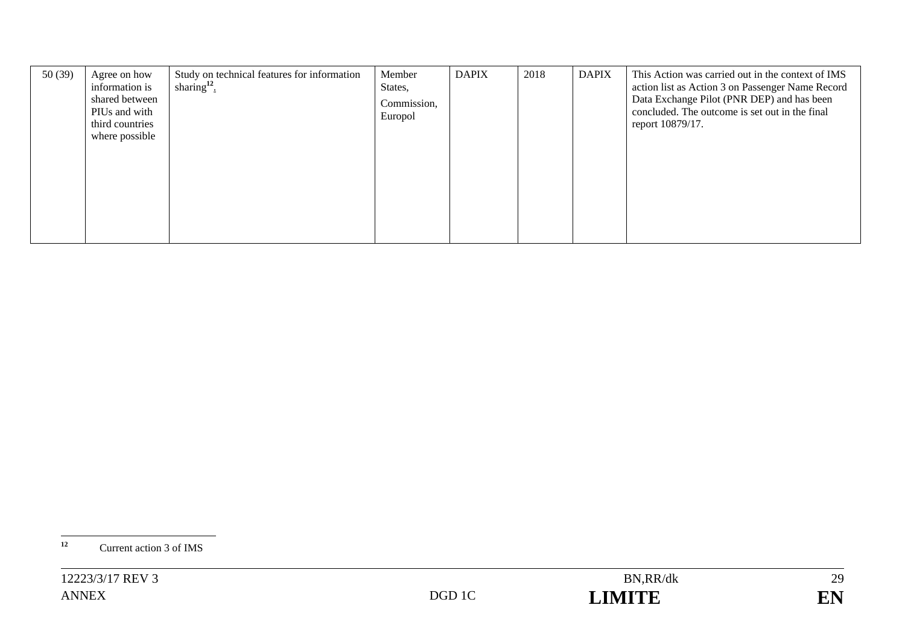| 50(39) | Agree on how<br>information is<br>shared between<br>PIUs and with<br>third countries<br>where possible | Study on technical features for information<br>sharing $12$ . | Member<br>States,<br>Commission,<br>Europol | <b>DAPIX</b> | 2018 | <b>DAPIX</b> | This Action was carried out in the context of IMS<br>action list as Action 3 on Passenger Name Record<br>Data Exchange Pilot (PNR DEP) and has been<br>concluded. The outcome is set out in the final<br>report 10879/17. |
|--------|--------------------------------------------------------------------------------------------------------|---------------------------------------------------------------|---------------------------------------------|--------------|------|--------------|---------------------------------------------------------------------------------------------------------------------------------------------------------------------------------------------------------------------------|
|        |                                                                                                        |                                                               |                                             |              |      |              |                                                                                                                                                                                                                           |

**<sup>12</sup>** Current action 3 of IMS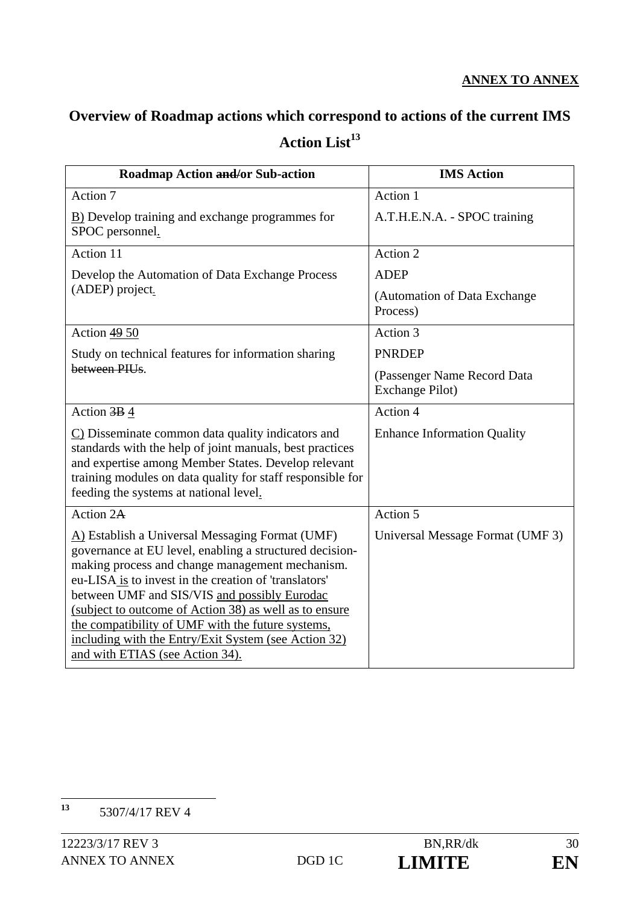# **Overview of Roadmap actions which correspond to actions of the current IMS**  Action List<sup>13</sup>

| <b>Roadmap Action and/or Sub-action</b>                                                                                                                                                                                                                                                                                                                                                                                                                                          | <b>IMS Action</b>                              |
|----------------------------------------------------------------------------------------------------------------------------------------------------------------------------------------------------------------------------------------------------------------------------------------------------------------------------------------------------------------------------------------------------------------------------------------------------------------------------------|------------------------------------------------|
| Action 7                                                                                                                                                                                                                                                                                                                                                                                                                                                                         | Action 1                                       |
| <b>B</b> ) Develop training and exchange programmes for<br>SPOC personnel.                                                                                                                                                                                                                                                                                                                                                                                                       | A.T.H.E.N.A. - SPOC training                   |
| Action 11                                                                                                                                                                                                                                                                                                                                                                                                                                                                        | Action 2                                       |
| Develop the Automation of Data Exchange Process<br>(ADEP) project.                                                                                                                                                                                                                                                                                                                                                                                                               | <b>ADEP</b>                                    |
|                                                                                                                                                                                                                                                                                                                                                                                                                                                                                  | (Automation of Data Exchange)<br>Process)      |
| Action 49 50                                                                                                                                                                                                                                                                                                                                                                                                                                                                     | Action 3                                       |
| Study on technical features for information sharing                                                                                                                                                                                                                                                                                                                                                                                                                              | <b>PNRDEP</b>                                  |
| between PIUs.                                                                                                                                                                                                                                                                                                                                                                                                                                                                    | (Passenger Name Record Data<br>Exchange Pilot) |
| Action $\frac{3B}{9}$ 4                                                                                                                                                                                                                                                                                                                                                                                                                                                          | Action 4                                       |
| $\Gamma$ ) Disseminate common data quality indicators and<br>standards with the help of joint manuals, best practices<br>and expertise among Member States. Develop relevant<br>training modules on data quality for staff responsible for<br>feeding the systems at national level.                                                                                                                                                                                             | <b>Enhance Information Quality</b>             |
| Action 2A                                                                                                                                                                                                                                                                                                                                                                                                                                                                        | Action 5                                       |
| A) Establish a Universal Messaging Format (UMF)<br>governance at EU level, enabling a structured decision-<br>making process and change management mechanism.<br>eu-LISA is to invest in the creation of 'translators'<br>between UMF and SIS/VIS and possibly Eurodac<br>(subject to outcome of Action 38) as well as to ensure<br>the compatibility of UMF with the future systems,<br>including with the Entry/Exit System (see Action 32)<br>and with ETIAS (see Action 34). | Universal Message Format (UMF 3)               |

 $13$ **<sup>13</sup>** 5307/4/17 REV 4